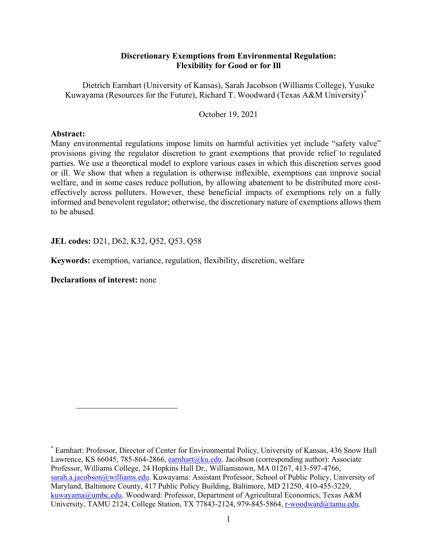# **Discretionary Exemptions from Environmental Regulation: Flexibility for Good or for Ill**

Dietrich Earnhart (University of Kansas), Sarah Jacobson (Williams College), Yusuke Kuwayama (Resources for the Future), Richard T. Woodward (Texas A&M University)[\\*](#page-0-0)

October 19, 2021

## **Abstract:**

Many environmental regulations impose limits on harmful activities yet include "safety valve" provisions giving the regulator discretion to grant exemptions that provide relief to regulated parties. We use a theoretical model to explore various cases in which this discretion serves good or ill. We show that when a regulation is otherwise inflexible, exemptions can improve social welfare, and in some cases reduce pollution, by allowing abatement to be distributed more costeffectively across polluters. However, these beneficial impacts of exemptions rely on a fully informed and benevolent regulator; otherwise, the discretionary nature of exemptions allows them to be abused.

**JEL codes:** D21, D62, K32, Q52, Q53, Q58

**Keywords:** exemption, variance, regulation, flexibility, discretion, welfare

**Declarations of interest:** none

 $\overline{a}$ 

<span id="page-0-0"></span><sup>\*</sup> Earnhart: Professor, Director of Center for Environmental Policy, University of Kansas, 436 Snow Hall Lawrence, KS 66045, 785-864-2866, [earnhart@ku.edu.](mailto:earnhart@ku.edu) Jacobson (corresponding author): Associate Professor, Williams College, 24 Hopkins Hall Dr., Williamstown, MA 01267, 413-597-4766, [sarah.a.jacobson@williams.edu.](mailto:sarah.a.jacobson@williams.edu) Kuwayama: Assistant Professor, School of Public Policy, University of Maryland, Baltimore County, 417 Public Policy Building, Baltimore, MD 21250, 410-455-3229, [kuwayama@umbc.edu.](mailto:kuwayama@umbc.edu) Woodward: Professor, Department of Agricultural Economics, Texas A&M University, TAMU 2124, College Station, TX 77843-2124, 979-845-5864, [r-woodward@tamu.edu.](mailto:r-woodward@tamu.edu)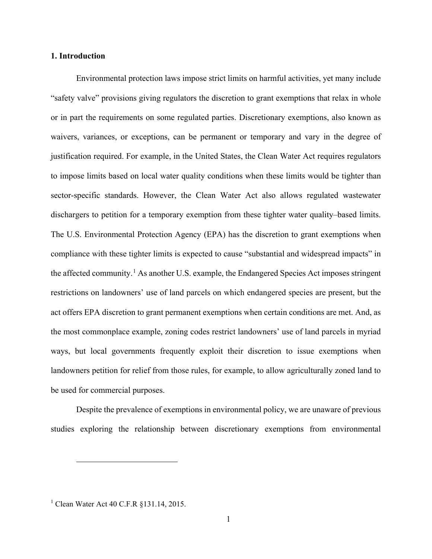## **1. Introduction**

Environmental protection laws impose strict limits on harmful activities, yet many include "safety valve" provisions giving regulators the discretion to grant exemptions that relax in whole or in part the requirements on some regulated parties. Discretionary exemptions, also known as waivers, variances, or exceptions, can be permanent or temporary and vary in the degree of justification required. For example, in the United States, the Clean Water Act requires regulators to impose limits based on local water quality conditions when these limits would be tighter than sector-specific standards. However, the Clean Water Act also allows regulated wastewater dischargers to petition for a temporary exemption from these tighter water quality–based limits. The U.S. Environmental Protection Agency (EPA) has the discretion to grant exemptions when compliance with these tighter limits is expected to cause "substantial and widespread impacts" in the affected community.<sup>[1](#page-1-0)</sup> As another U.S. example, the Endangered Species Act imposes stringent restrictions on landowners' use of land parcels on which endangered species are present, but the act offers EPA discretion to grant permanent exemptions when certain conditions are met. And, as the most commonplace example, zoning codes restrict landowners' use of land parcels in myriad ways, but local governments frequently exploit their discretion to issue exemptions when landowners petition for relief from those rules, for example, to allow agriculturally zoned land to be used for commercial purposes.

Despite the prevalence of exemptions in environmental policy, we are unaware of previous studies exploring the relationship between discretionary exemptions from environmental

 $\overline{a}$ 

<span id="page-1-0"></span><sup>&</sup>lt;sup>1</sup> Clean Water Act 40 C.F.R §131.14, 2015.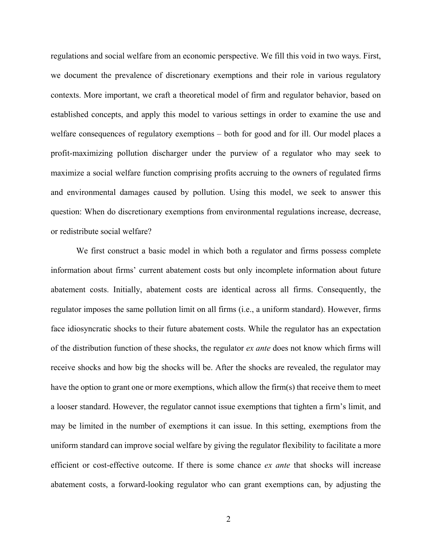regulations and social welfare from an economic perspective. We fill this void in two ways. First, we document the prevalence of discretionary exemptions and their role in various regulatory contexts. More important, we craft a theoretical model of firm and regulator behavior, based on established concepts, and apply this model to various settings in order to examine the use and welfare consequences of regulatory exemptions – both for good and for ill. Our model places a profit-maximizing pollution discharger under the purview of a regulator who may seek to maximize a social welfare function comprising profits accruing to the owners of regulated firms and environmental damages caused by pollution. Using this model, we seek to answer this question: When do discretionary exemptions from environmental regulations increase, decrease, or redistribute social welfare?

We first construct a basic model in which both a regulator and firms possess complete information about firms' current abatement costs but only incomplete information about future abatement costs. Initially, abatement costs are identical across all firms. Consequently, the regulator imposes the same pollution limit on all firms (i.e., a uniform standard). However, firms face idiosyncratic shocks to their future abatement costs. While the regulator has an expectation of the distribution function of these shocks, the regulator *ex ante* does not know which firms will receive shocks and how big the shocks will be. After the shocks are revealed, the regulator may have the option to grant one or more exemptions, which allow the firm(s) that receive them to meet a looser standard. However, the regulator cannot issue exemptions that tighten a firm's limit, and may be limited in the number of exemptions it can issue. In this setting, exemptions from the uniform standard can improve social welfare by giving the regulator flexibility to facilitate a more efficient or cost-effective outcome. If there is some chance *ex ante* that shocks will increase abatement costs, a forward-looking regulator who can grant exemptions can, by adjusting the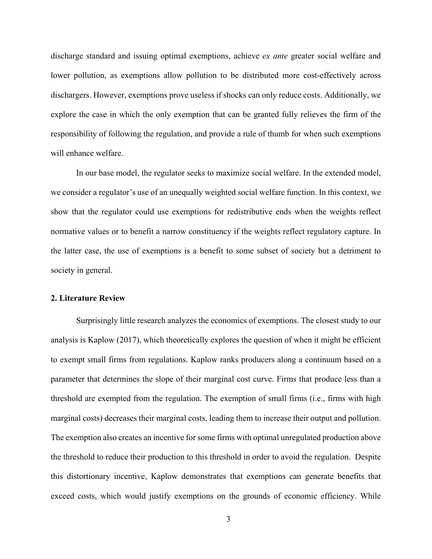discharge standard and issuing optimal exemptions, achieve *ex ante* greater social welfare and lower pollution, as exemptions allow pollution to be distributed more cost-effectively across dischargers. However, exemptions prove useless if shocks can only reduce costs. Additionally, we explore the case in which the only exemption that can be granted fully relieves the firm of the responsibility of following the regulation, and provide a rule of thumb for when such exemptions will enhance welfare.

In our base model, the regulator seeks to maximize social welfare. In the extended model, we consider a regulator's use of an unequally weighted social welfare function. In this context, we show that the regulator could use exemptions for redistributive ends when the weights reflect normative values or to benefit a narrow constituency if the weights reflect regulatory capture. In the latter case, the use of exemptions is a benefit to some subset of society but a detriment to society in general.

## **2. Literature Review**

Surprisingly little research analyzes the economics of exemptions. The closest study to our analysis is Kaplow (2017), which theoretically explores the question of when it might be efficient to exempt small firms from regulations. Kaplow ranks producers along a continuum based on a parameter that determines the slope of their marginal cost curve. Firms that produce less than a threshold are exempted from the regulation. The exemption of small firms (i.e., firms with high marginal costs) decreases their marginal costs, leading them to increase their output and pollution. The exemption also creates an incentive for some firms with optimal unregulated production above the threshold to reduce their production to this threshold in order to avoid the regulation. Despite this distortionary incentive, Kaplow demonstrates that exemptions can generate benefits that exceed costs, which would justify exemptions on the grounds of economic efficiency. While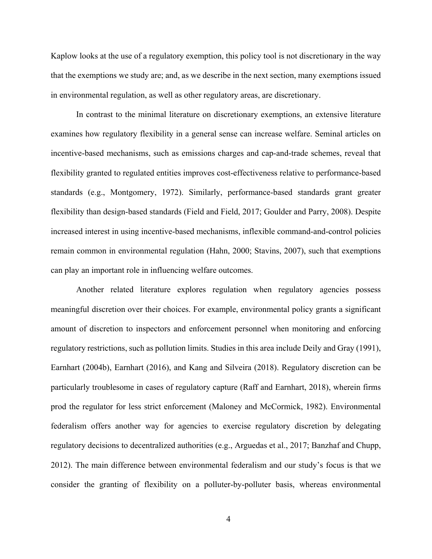Kaplow looks at the use of a regulatory exemption, this policy tool is not discretionary in the way that the exemptions we study are; and, as we describe in the next section, many exemptions issued in environmental regulation, as well as other regulatory areas, are discretionary.

In contrast to the minimal literature on discretionary exemptions, an extensive literature examines how regulatory flexibility in a general sense can increase welfare. Seminal articles on incentive-based mechanisms, such as emissions charges and cap-and-trade schemes, reveal that flexibility granted to regulated entities improves cost-effectiveness relative to performance-based standards (e.g., Montgomery, 1972). Similarly, performance-based standards grant greater flexibility than design-based standards (Field and Field, 2017; Goulder and Parry, 2008). Despite increased interest in using incentive-based mechanisms, inflexible command-and-control policies remain common in environmental regulation (Hahn, 2000; Stavins, 2007), such that exemptions can play an important role in influencing welfare outcomes.

Another related literature explores regulation when regulatory agencies possess meaningful discretion over their choices. For example, environmental policy grants a significant amount of discretion to inspectors and enforcement personnel when monitoring and enforcing regulatory restrictions, such as pollution limits. Studies in this area include Deily and Gray (1991), Earnhart (2004b), Earnhart (2016), and Kang and Silveira (2018). Regulatory discretion can be particularly troublesome in cases of regulatory capture (Raff and Earnhart, 2018), wherein firms prod the regulator for less strict enforcement (Maloney and McCormick, 1982). Environmental federalism offers another way for agencies to exercise regulatory discretion by delegating regulatory decisions to decentralized authorities (e.g., Arguedas et al., 2017; Banzhaf and Chupp, 2012). The main difference between environmental federalism and our study's focus is that we consider the granting of flexibility on a polluter-by-polluter basis, whereas environmental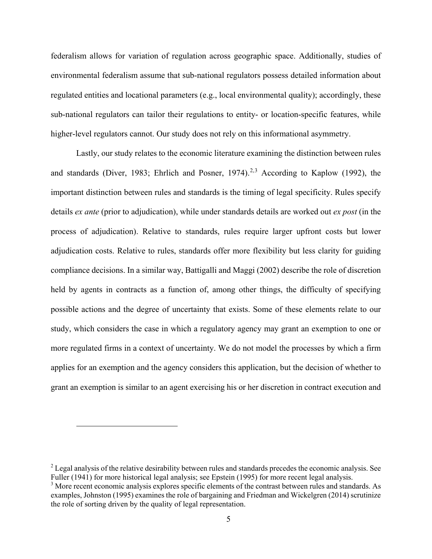federalism allows for variation of regulation across geographic space. Additionally, studies of environmental federalism assume that sub-national regulators possess detailed information about regulated entities and locational parameters (e.g., local environmental quality); accordingly, these sub-national regulators can tailor their regulations to entity- or location-specific features, while higher-level regulators cannot. Our study does not rely on this informational asymmetry.

Lastly, our study relates to the economic literature examining the distinction between rules and standards (Diver, 1983; Ehrlich and Posner, 1974).<sup>[2](#page-5-0),[3](#page-5-1)</sup> According to Kaplow (1992), the important distinction between rules and standards is the timing of legal specificity. Rules specify details *ex ante* (prior to adjudication), while under standards details are worked out *ex post* (in the process of adjudication). Relative to standards, rules require larger upfront costs but lower adjudication costs. Relative to rules, standards offer more flexibility but less clarity for guiding compliance decisions. In a similar way, Battigalli and Maggi (2002) describe the role of discretion held by agents in contracts as a function of, among other things, the difficulty of specifying possible actions and the degree of uncertainty that exists. Some of these elements relate to our study, which considers the case in which a regulatory agency may grant an exemption to one or more regulated firms in a context of uncertainty. We do not model the processes by which a firm applies for an exemption and the agency considers this application, but the decision of whether to grant an exemption is similar to an agent exercising his or her discretion in contract execution and

 $\overline{a}$ 

<span id="page-5-0"></span><sup>&</sup>lt;sup>2</sup> Legal analysis of the relative desirability between rules and standards precedes the economic analysis. See Fuller (1941) for more historical legal analysis; see Epstein (1995) for more recent legal analysis.

<span id="page-5-1"></span><sup>&</sup>lt;sup>3</sup> More recent economic analysis explores specific elements of the contrast between rules and standards. As examples, Johnston (1995) examines the role of bargaining and Friedman and Wickelgren (2014) scrutinize the role of sorting driven by the quality of legal representation.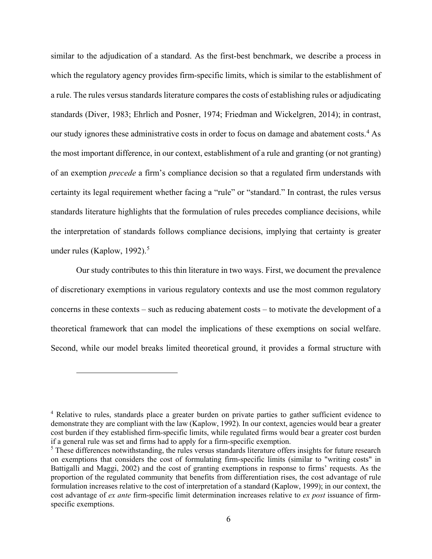similar to the adjudication of a standard. As the first-best benchmark, we describe a process in which the regulatory agency provides firm-specific limits, which is similar to the establishment of a rule. The rules versus standards literature compares the costs of establishing rules or adjudicating standards (Diver, 1983; Ehrlich and Posner, 1974; Friedman and Wickelgren, 2014); in contrast, our study ignores these administrative costs in order to focus on damage and abatement costs.<sup>[4](#page-6-0)</sup> As the most important difference, in our context, establishment of a rule and granting (or not granting) of an exemption *precede* a firm's compliance decision so that a regulated firm understands with certainty its legal requirement whether facing a "rule" or "standard." In contrast, the rules versus standards literature highlights that the formulation of rules precedes compliance decisions, while the interpretation of standards follows compliance decisions, implying that certainty is greater under rules (Kaplow, 1992). [5](#page-6-1)

Our study contributes to this thin literature in two ways. First, we document the prevalence of discretionary exemptions in various regulatory contexts and use the most common regulatory concerns in these contexts – such as reducing abatement costs – to motivate the development of a theoretical framework that can model the implications of these exemptions on social welfare. Second, while our model breaks limited theoretical ground, it provides a formal structure with

 $\overline{a}$ 

<span id="page-6-0"></span><sup>&</sup>lt;sup>4</sup> Relative to rules, standards place a greater burden on private parties to gather sufficient evidence to demonstrate they are compliant with the law (Kaplow, 1992). In our context, agencies would bear a greater cost burden if they established firm-specific limits, while regulated firms would bear a greater cost burden if a general rule was set and firms had to apply for a firm-specific exemption.

<span id="page-6-1"></span><sup>&</sup>lt;sup>5</sup> These differences notwithstanding, the rules versus standards literature offers insights for future research on exemptions that considers the cost of formulating firm-specific limits (similar to "writing costs" in Battigalli and Maggi, 2002) and the cost of granting exemptions in response to firms' requests. As the proportion of the regulated community that benefits from differentiation rises, the cost advantage of rule formulation increases relative to the cost of interpretation of a standard (Kaplow, 1999); in our context, the cost advantage of *ex ante* firm-specific limit determination increases relative to *ex post* issuance of firmspecific exemptions.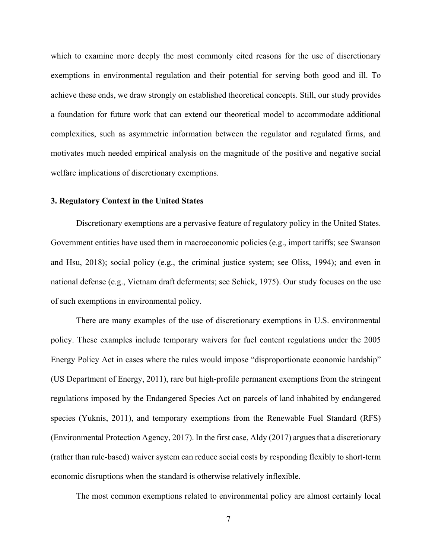which to examine more deeply the most commonly cited reasons for the use of discretionary exemptions in environmental regulation and their potential for serving both good and ill. To achieve these ends, we draw strongly on established theoretical concepts. Still, our study provides a foundation for future work that can extend our theoretical model to accommodate additional complexities, such as asymmetric information between the regulator and regulated firms, and motivates much needed empirical analysis on the magnitude of the positive and negative social welfare implications of discretionary exemptions.

#### **3. Regulatory Context in the United States**

Discretionary exemptions are a pervasive feature of regulatory policy in the United States. Government entities have used them in macroeconomic policies (e.g., import tariffs; see Swanson and Hsu, 2018); social policy (e.g., the criminal justice system; see Oliss, 1994); and even in national defense (e.g., Vietnam draft deferments; see Schick, 1975). Our study focuses on the use of such exemptions in environmental policy.

There are many examples of the use of discretionary exemptions in U.S. environmental policy. These examples include temporary waivers for fuel content regulations under the 2005 Energy Policy Act in cases where the rules would impose "disproportionate economic hardship" (US Department of Energy, 2011), rare but high-profile permanent exemptions from the stringent regulations imposed by the Endangered Species Act on parcels of land inhabited by endangered species (Yuknis, 2011), and temporary exemptions from the Renewable Fuel Standard (RFS) (Environmental Protection Agency, 2017). In the first case, Aldy (2017) argues that a discretionary (rather than rule-based) waiver system can reduce social costs by responding flexibly to short-term economic disruptions when the standard is otherwise relatively inflexible.

The most common exemptions related to environmental policy are almost certainly local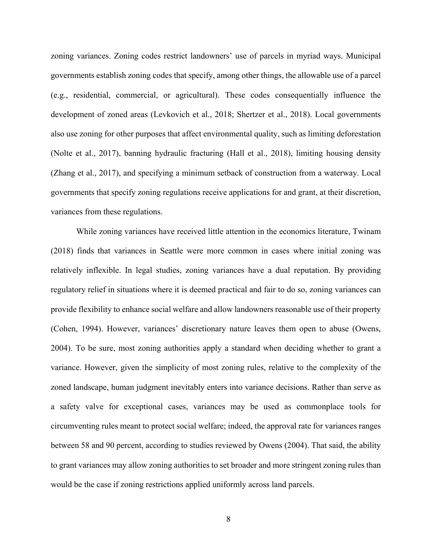zoning variances. Zoning codes restrict landowners' use of parcels in myriad ways. Municipal governments establish zoning codes that specify, among other things, the allowable use of a parcel (e.g., residential, commercial, or agricultural). These codes consequentially influence the development of zoned areas (Levkovich et al., 2018; Shertzer et al., 2018). Local governments also use zoning for other purposes that affect environmental quality, such as limiting deforestation (Nolte et al., 2017), banning hydraulic fracturing (Hall et al., 2018), limiting housing density (Zhang et al., 2017), and specifying a minimum setback of construction from a waterway. Local governments that specify zoning regulations receive applications for and grant, at their discretion, variances from these regulations.

While zoning variances have received little attention in the economics literature, Twinam (2018) finds that variances in Seattle were more common in cases where initial zoning was relatively inflexible. In legal studies, zoning variances have a dual reputation. By providing regulatory relief in situations where it is deemed practical and fair to do so, zoning variances can provide flexibility to enhance social welfare and allow landowners reasonable use of their property (Cohen, 1994). However, variances' discretionary nature leaves them open to abuse (Owens, 2004). To be sure, most zoning authorities apply a standard when deciding whether to grant a variance. However, given the simplicity of most zoning rules, relative to the complexity of the zoned landscape, human judgment inevitably enters into variance decisions. Rather than serve as a safety valve for exceptional cases, variances may be used as commonplace tools for circumventing rules meant to protect social welfare; indeed, the approval rate for variances ranges between 58 and 90 percent, according to studies reviewed by Owens (2004). That said, the ability to grant variances may allow zoning authorities to set broader and more stringent zoning rules than would be the case if zoning restrictions applied uniformly across land parcels.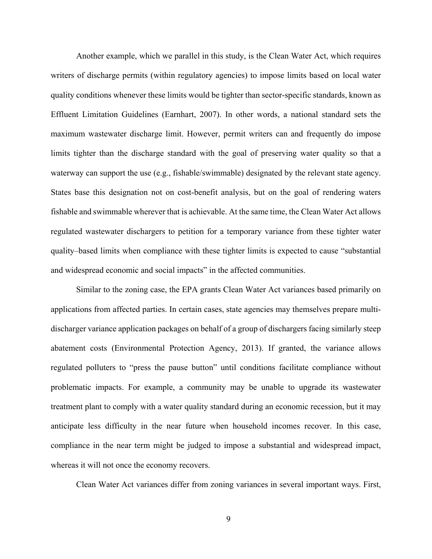Another example, which we parallel in this study, is the Clean Water Act, which requires writers of discharge permits (within regulatory agencies) to impose limits based on local water quality conditions whenever these limits would be tighter than sector-specific standards, known as Effluent Limitation Guidelines (Earnhart, 2007). In other words, a national standard sets the maximum wastewater discharge limit. However, permit writers can and frequently do impose limits tighter than the discharge standard with the goal of preserving water quality so that a waterway can support the use (e.g., fishable/swimmable) designated by the relevant state agency. States base this designation not on cost-benefit analysis, but on the goal of rendering waters fishable and swimmable wherever that is achievable. At the same time, the Clean Water Act allows regulated wastewater dischargers to petition for a temporary variance from these tighter water quality–based limits when compliance with these tighter limits is expected to cause "substantial and widespread economic and social impacts" in the affected communities.

Similar to the zoning case, the EPA grants Clean Water Act variances based primarily on applications from affected parties. In certain cases, state agencies may themselves prepare multidischarger variance application packages on behalf of a group of dischargers facing similarly steep abatement costs (Environmental Protection Agency, 2013). If granted, the variance allows regulated polluters to "press the pause button" until conditions facilitate compliance without problematic impacts. For example, a community may be unable to upgrade its wastewater treatment plant to comply with a water quality standard during an economic recession, but it may anticipate less difficulty in the near future when household incomes recover. In this case, compliance in the near term might be judged to impose a substantial and widespread impact, whereas it will not once the economy recovers.

Clean Water Act variances differ from zoning variances in several important ways. First,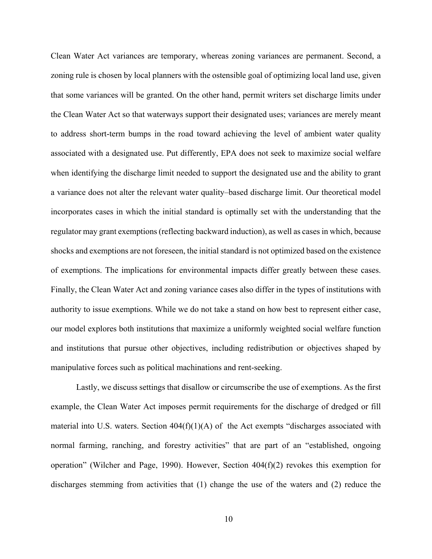Clean Water Act variances are temporary, whereas zoning variances are permanent. Second, a zoning rule is chosen by local planners with the ostensible goal of optimizing local land use, given that some variances will be granted. On the other hand, permit writers set discharge limits under the Clean Water Act so that waterways support their designated uses; variances are merely meant to address short-term bumps in the road toward achieving the level of ambient water quality associated with a designated use. Put differently, EPA does not seek to maximize social welfare when identifying the discharge limit needed to support the designated use and the ability to grant a variance does not alter the relevant water quality–based discharge limit. Our theoretical model incorporates cases in which the initial standard is optimally set with the understanding that the regulator may grant exemptions (reflecting backward induction), as well as cases in which, because shocks and exemptions are not foreseen, the initial standard is not optimized based on the existence of exemptions. The implications for environmental impacts differ greatly between these cases. Finally, the Clean Water Act and zoning variance cases also differ in the types of institutions with authority to issue exemptions. While we do not take a stand on how best to represent either case, our model explores both institutions that maximize a uniformly weighted social welfare function and institutions that pursue other objectives, including redistribution or objectives shaped by manipulative forces such as political machinations and rent-seeking.

Lastly, we discuss settings that disallow or circumscribe the use of exemptions. As the first example, the Clean Water Act imposes permit requirements for the discharge of dredged or fill material into U.S. waters. Section  $404(f)(1)(A)$  of the Act exempts "discharges associated with normal farming, ranching, and forestry activities" that are part of an "established, ongoing operation" (Wilcher and Page, 1990). However, Section 404(f)(2) revokes this exemption for discharges stemming from activities that (1) change the use of the waters and (2) reduce the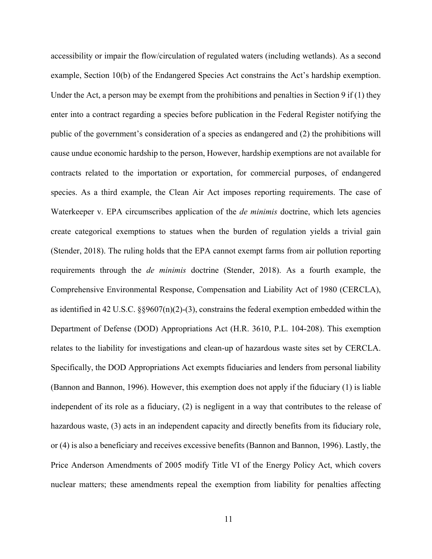accessibility or impair the flow/circulation of regulated waters (including wetlands). As a second example, Section 10(b) of the Endangered Species Act constrains the Act's hardship exemption. Under the Act, a person may be exempt from the prohibitions and penalties in Section 9 if  $(1)$  they enter into a contract regarding a species before publication in the Federal Register notifying the public of the government's consideration of a species as endangered and (2) the prohibitions will cause undue economic hardship to the person, However, hardship exemptions are not available for contracts related to the importation or exportation, for commercial purposes, of endangered species. As a third example, the Clean Air Act imposes reporting requirements. The case of Waterkeeper v. EPA circumscribes application of the *de minimis* doctrine, which lets agencies create categorical exemptions to statues when the burden of regulation yields a trivial gain (Stender, 2018). The ruling holds that the EPA cannot exempt farms from air pollution reporting requirements through the *de minimis* doctrine (Stender, 2018). As a fourth example, the Comprehensive Environmental Response, Compensation and Liability Act of 1980 (CERCLA), as identified in 42 U.S.C. §§9607(n)(2)-(3), constrains the federal exemption embedded within the Department of Defense (DOD) Appropriations Act (H.R. 3610, P.L. 104-208). This exemption relates to the liability for investigations and clean-up of hazardous waste sites set by CERCLA. Specifically, the DOD Appropriations Act exempts fiduciaries and lenders from personal liability (Bannon and Bannon, 1996). However, this exemption does not apply if the fiduciary (1) is liable independent of its role as a fiduciary, (2) is negligent in a way that contributes to the release of hazardous waste, (3) acts in an independent capacity and directly benefits from its fiduciary role, or (4) is also a beneficiary and receives excessive benefits (Bannon and Bannon, 1996). Lastly, the Price Anderson Amendments of 2005 modify Title VI of the Energy Policy Act, which covers nuclear matters; these amendments repeal the exemption from liability for penalties affecting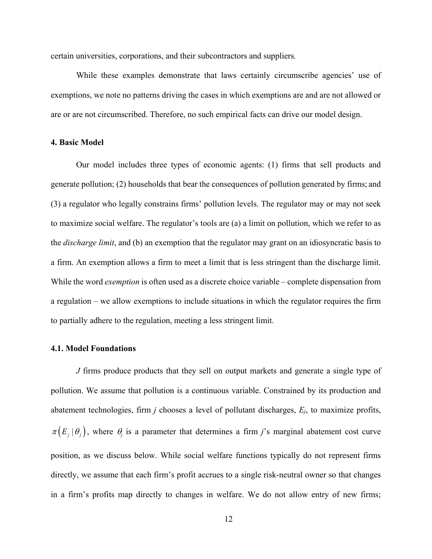certain universities, corporations, and their subcontractors and suppliers*.*

While these examples demonstrate that laws certainly circumscribe agencies' use of exemptions, we note no patterns driving the cases in which exemptions are and are not allowed or are or are not circumscribed. Therefore, no such empirical facts can drive our model design.

### **4. Basic Model**

Our model includes three types of economic agents: (1) firms that sell products and generate pollution; (2) households that bear the consequences of pollution generated by firms; and (3) a regulator who legally constrains firms' pollution levels. The regulator may or may not seek to maximize social welfare. The regulator's tools are (a) a limit on pollution, which we refer to as the *discharge limit*, and (b) an exemption that the regulator may grant on an idiosyncratic basis to a firm. An exemption allows a firm to meet a limit that is less stringent than the discharge limit. While the word *exemption* is often used as a discrete choice variable – complete dispensation from a regulation – we allow exemptions to include situations in which the regulator requires the firm to partially adhere to the regulation, meeting a less stringent limit.

## **4.1. Model Foundations**

*J* firms produce products that they sell on output markets and generate a single type of pollution. We assume that pollution is a continuous variable. Constrained by its production and abatement technologies, firm *j* chooses a level of pollutant discharges, *Ej*, to maximize profits,  $\pi(E_j | \theta_j)$ , where  $\theta_j$  is a parameter that determines a firm *j*'s marginal abatement cost curve position, as we discuss below. While social welfare functions typically do not represent firms directly, we assume that each firm's profit accrues to a single risk-neutral owner so that changes in a firm's profits map directly to changes in welfare. We do not allow entry of new firms;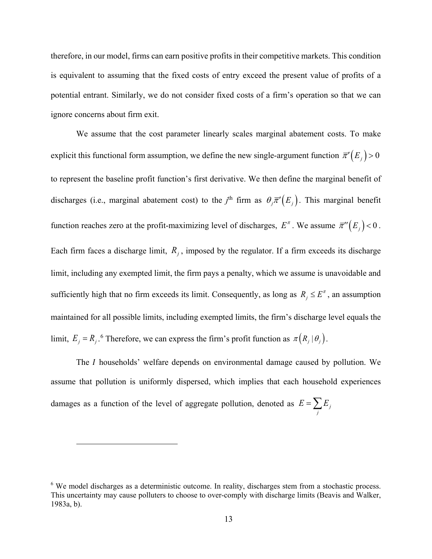therefore, in our model, firms can earn positive profits in their competitive markets. This condition is equivalent to assuming that the fixed costs of entry exceed the present value of profits of a potential entrant. Similarly, we do not consider fixed costs of a firm's operation so that we can ignore concerns about firm exit.

We assume that the cost parameter linearly scales marginal abatement costs. To make explicit this functional form assumption, we define the new single-argument function  $\overline{\pi}'(E_j) > 0$ to represent the baseline profit function's first derivative. We then define the marginal benefit of discharges (i.e., marginal abatement cost) to the  $j^{\text{th}}$  firm as  $\theta_j \overline{\pi}'(E_j)$ . This marginal benefit function reaches zero at the profit-maximizing level of discharges,  $E^{\pi}$ . We assume  $\overline{\pi}''(E_j)$  < 0. Each firm faces a discharge limit,  $R_j$ , imposed by the regulator. If a firm exceeds its discharge limit, including any exempted limit, the firm pays a penalty, which we assume is unavoidable and sufficiently high that no firm exceeds its limit. Consequently, as long as  $R_j \leq E^{\pi}$ , an assumption maintained for all possible limits, including exempted limits, the firm's discharge level equals the limit,  $E_j = R_j$ .<sup>[6](#page-13-0)</sup> Therefore, we can express the firm's profit function as  $\pi (R_j | \theta_j)$ .

The *I* households' welfare depends on environmental damage caused by pollution. We assume that pollution is uniformly dispersed, which implies that each household experiences damages as a function of the level of aggregate pollution, denoted as  $E = \sum E_j$  $E = \sum_j E_j$ 

 $\overline{a}$ 

<span id="page-13-0"></span><sup>&</sup>lt;sup>6</sup> We model discharges as a deterministic outcome. In reality, discharges stem from a stochastic process. This uncertainty may cause polluters to choose to over-comply with discharge limits (Beavis and Walker, 1983a, b).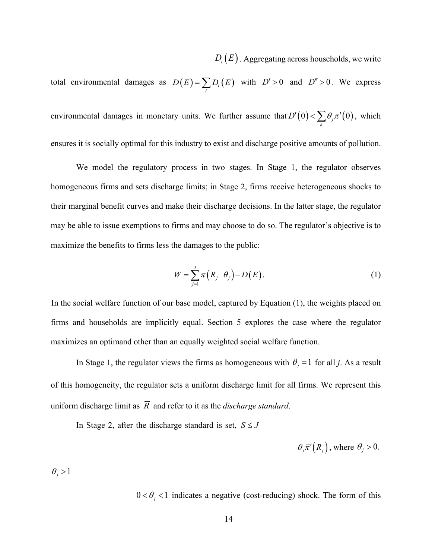$D_i(E)$ . Aggregating across households, we write

total environmental damages as  $D(E) = \sum_i D_i(E)$  with  $D' > 0$  and  $D'' > 0$ . We express environmental damages in monetary units. We further assume that  $D'(0) < \sum \theta_j \overline{\pi}'(0)$  $D'(0) < \sum_{k} \theta_{j} \overline{\pi}'(0)$ , which ensures it is socially optimal for this industry to exist and discharge positive amounts of pollution.

We model the regulatory process in two stages. In Stage 1, the regulator observes homogeneous firms and sets discharge limits; in Stage 2, firms receive heterogeneous shocks to their marginal benefit curves and make their discharge decisions. In the latter stage, the regulator may be able to issue exemptions to firms and may choose to do so. The regulator's objective is to maximize the benefits to firms less the damages to the public:

$$
W = \sum_{j=1}^{J} \pi \left( R_j \mid \theta_j \right) - D \left( E \right). \tag{1}
$$

In the social welfare function of our base model, captured by Equation [\(1\),](#page-14-0) the weights placed on firms and households are implicitly equal. Section 5 explores the case where the regulator maximizes an optimand other than an equally weighted social welfare function.

In Stage 1, the regulator views the firms as homogeneous with  $\theta_i = 1$  for all *j*. As a result of this homogeneity, the regulator sets a uniform discharge limit for all firms. We represent this uniform discharge limit as  $\overline{R}$  and refer to it as the *discharge standard*.

In Stage 2, after the discharge standard is set,  $S \leq J$ 

<span id="page-14-0"></span>
$$
\theta_j \overline{\pi}'(R_j)
$$
, where  $\theta_j > 0$ .

 $\theta_i > 1$ 

 $0 < \theta_j < 1$  indicates a negative (cost-reducing) shock. The form of this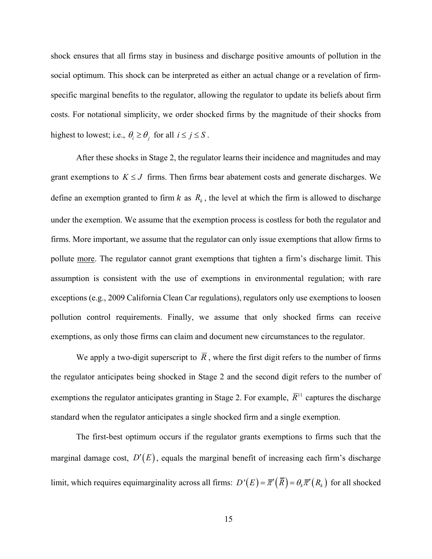shock ensures that all firms stay in business and discharge positive amounts of pollution in the social optimum. This shock can be interpreted as either an actual change or a revelation of firmspecific marginal benefits to the regulator, allowing the regulator to update its beliefs about firm costs. For notational simplicity, we order shocked firms by the magnitude of their shocks from highest to lowest; i.e.,  $\theta_i \ge \theta_j$  for all  $i \le j \le S$ .

After these shocks in Stage 2, the regulator learns their incidence and magnitudes and may grant exemptions to  $K \leq J$  firms. Then firms bear abatement costs and generate discharges. We define an exemption granted to firm  $k$  as  $R_k$ , the level at which the firm is allowed to discharge under the exemption. We assume that the exemption process is costless for both the regulator and firms. More important, we assume that the regulator can only issue exemptions that allow firms to pollute more. The regulator cannot grant exemptions that tighten a firm's discharge limit. This assumption is consistent with the use of exemptions in environmental regulation; with rare exceptions (e.g., 2009 California Clean Car regulations), regulators only use exemptions to loosen pollution control requirements. Finally, we assume that only shocked firms can receive exemptions, as only those firms can claim and document new circumstances to the regulator.

We apply a two-digit superscript to  $\overline{R}$ , where the first digit refers to the number of firms the regulator anticipates being shocked in Stage 2 and the second digit refers to the number of exemptions the regulator anticipates granting in Stage 2. For example,  $\overline{R}^{11}$  captures the discharge standard when the regulator anticipates a single shocked firm and a single exemption.

The first-best optimum occurs if the regulator grants exemptions to firms such that the marginal damage cost,  $D'(E)$ , equals the marginal benefit of increasing each firm's discharge limit, which requires equimarginality across all firms:  $D'(E) = \overline{\pi}'(\overline{R}) = \theta_k \overline{\pi}'(R_k)$  for all shocked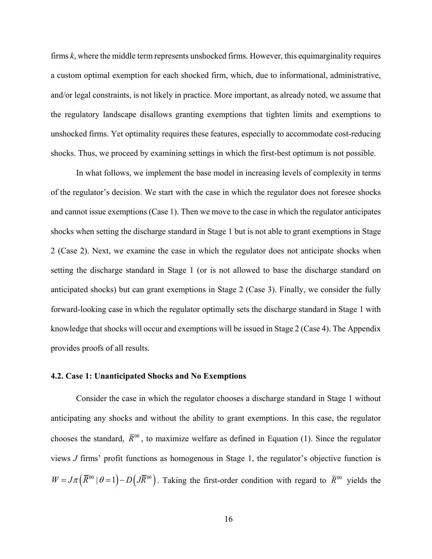firms *k*, where the middle term represents unshocked firms. However, this equimarginality requires a custom optimal exemption for each shocked firm, which, due to informational, administrative, and/or legal constraints, is not likely in practice. More important, as already noted, we assume that the regulatory landscape disallows granting exemptions that tighten limits and exemptions to unshocked firms. Yet optimality requires these features, especially to accommodate cost-reducing shocks. Thus, we proceed by examining settings in which the first-best optimum is not possible.

In what follows, we implement the base model in increasing levels of complexity in terms of the regulator's decision. We start with the case in which the regulator does not foresee shocks and cannot issue exemptions (Case 1). Then we move to the case in which the regulator anticipates shocks when setting the discharge standard in Stage 1 but is not able to grant exemptions in Stage 2 (Case 2). Next, we examine the case in which the regulator does not anticipate shocks when setting the discharge standard in Stage 1 (or is not allowed to base the discharge standard on anticipated shocks) but can grant exemptions in Stage 2 (Case 3). Finally, we consider the fully forward-looking case in which the regulator optimally sets the discharge standard in Stage 1 with knowledge that shocks will occur and exemptions will be issued in Stage 2 (Case 4). The Appendix provides proofs of all results.

### **4.2. Case 1: Unanticipated Shocks and No Exemptions**

Consider the case in which the regulator chooses a discharge standard in Stage 1 without anticipating any shocks and without the ability to grant exemptions. In this case, the regulator chooses the standard,  $\bar{R}^{00}$ , to maximize welfare as defined in Equation [\(1\).](#page-14-0) Since the regulator views *J* firms' profit functions as homogenous in Stage 1, the regulator's objective function is  $W = J\pi(\overline{R}^{00} | \theta = 1) - D(J\overline{R}^{00})$ . Taking the first-order condition with regard to  $\overline{R}^{00}$  yields the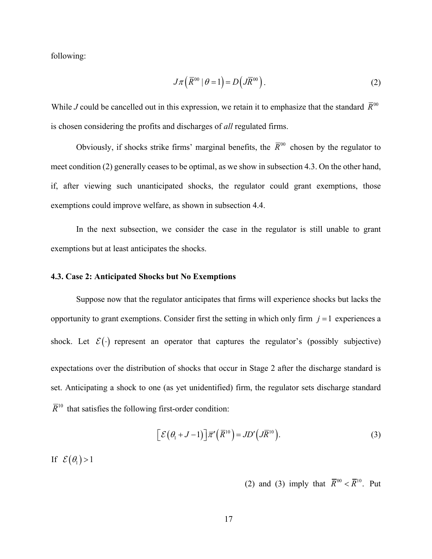following:

<span id="page-17-0"></span>
$$
J\pi\left(\overline{R}^{00} \mid \theta=1\right) = D\left(J\overline{R}^{00}\right). \tag{2}
$$

While *J* could be cancelled out in this expression, we retain it to emphasize that the standard  $\bar{R}^{00}$ is chosen considering the profits and discharges of *all* regulated firms.

Obviously, if shocks strike firms' marginal benefits, the  $\bar{R}^{00}$  chosen by the regulator to meet condition [\(2\)](#page-17-0) generally ceases to be optimal, as we show in subsection 4.3. On the other hand, if, after viewing such unanticipated shocks, the regulator could grant exemptions, those exemptions could improve welfare, as shown in subsection 4.4.

In the next subsection, we consider the case in the regulator is still unable to grant exemptions but at least anticipates the shocks.

# **4.3. Case 2: Anticipated Shocks but No Exemptions**

Suppose now that the regulator anticipates that firms will experience shocks but lacks the opportunity to grant exemptions. Consider first the setting in which only firm  $j = 1$  experiences a shock. Let  $\mathcal{E}(\cdot)$  represent an operator that captures the regulator's (possibly subjective) expectations over the distribution of shocks that occur in Stage 2 after the discharge standard is set. Anticipating a shock to one (as yet unidentified) firm, the regulator sets discharge standard  $\overline{R}^{10}$  that satisfies the following first-order condition:

$$
\[ \mathcal{E}(\theta_1 + J - 1) \] \overline{\pi}'(\overline{R}^{10}) = JD'(\overline{J}(\overline{R}^{10})). \tag{3}
$$

If  $\mathcal{E}(\theta_1) > 1$ 

<span id="page-17-1"></span>[\(2\)](#page-17-0) and [\(3\)](#page-17-1) imply that  $\overline{R}^{00} < \overline{R}^{10}$ . Put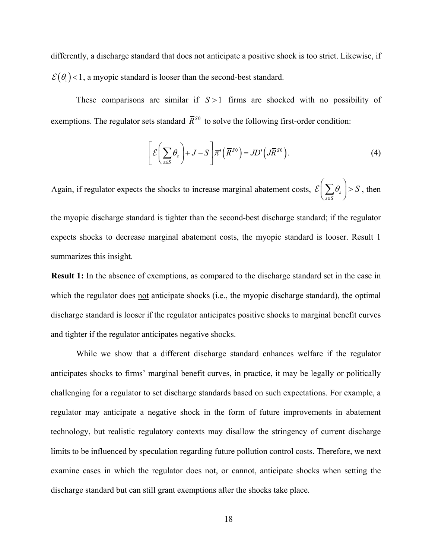differently, a discharge standard that does not anticipate a positive shock is too strict. Likewise, if  $\mathcal{E}(\theta_1)$  < 1, a myopic standard is looser than the second-best standard.

These comparisons are similar if *S* >1 firms are shocked with no possibility of exemptions. The regulator sets standard  $\overline{R}^{s_0}$  to solve the following first-order condition:

<span id="page-18-1"></span>
$$
\[ \mathcal{E} \bigg( \sum_{s \le S} \theta_s \bigg) + J - S \] \overline{\pi}' \big( \overline{R}^{S0} \bigg) = J D' \big( J \overline{R}^{S0} \big). \tag{4}
$$

Again, if regulator expects the shocks to increase marginal abatement costs,  $\mathcal{E}|\sum \theta_s$ *s S*  $\theta_{s}$  > S ≤  $\mathcal{E}\bigg(\sum_{s\leq S}\theta_s\bigg) > S$ , then

the myopic discharge standard is tighter than the second-best discharge standard; if the regulator expects shocks to decrease marginal abatement costs, the myopic standard is looser. Result [1](#page-18-0) summarizes this insight.

<span id="page-18-0"></span>**Result 1:** In the absence of exemptions, as compared to the discharge standard set in the case in which the regulator does not anticipate shocks (i.e., the myopic discharge standard), the optimal discharge standard is looser if the regulator anticipates positive shocks to marginal benefit curves and tighter if the regulator anticipates negative shocks.

While we show that a different discharge standard enhances welfare if the regulator anticipates shocks to firms' marginal benefit curves, in practice, it may be legally or politically challenging for a regulator to set discharge standards based on such expectations. For example, a regulator may anticipate a negative shock in the form of future improvements in abatement technology, but realistic regulatory contexts may disallow the stringency of current discharge limits to be influenced by speculation regarding future pollution control costs. Therefore, we next examine cases in which the regulator does not, or cannot, anticipate shocks when setting the discharge standard but can still grant exemptions after the shocks take place.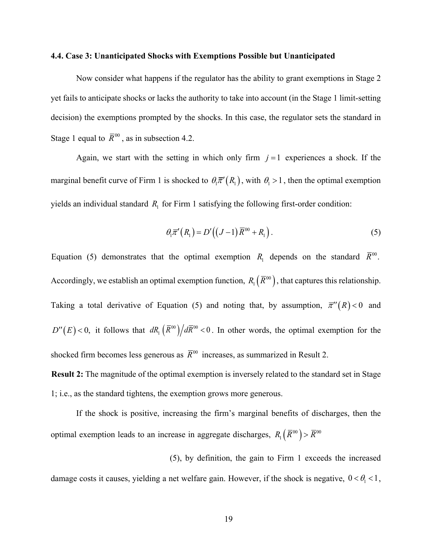#### **4.4. Case 3: Unanticipated Shocks with Exemptions Possible but Unanticipated**

Now consider what happens if the regulator has the ability to grant exemptions in Stage 2 yet fails to anticipate shocks or lacks the authority to take into account (in the Stage 1 limit-setting decision) the exemptions prompted by the shocks. In this case, the regulator sets the standard in Stage 1 equal to  $\overline{R}^{00}$ , as in subsection 4.2.

Again, we start with the setting in which only firm  $j = 1$  experiences a shock. If the marginal benefit curve of Firm 1 is shocked to  $\theta_1 \overline{\pi}'(R_1)$ , with  $\theta_1 > 1$ , then the optimal exemption yields an individual standard  $R_1$  for Firm 1 satisfying the following first-order condition:

<span id="page-19-0"></span>
$$
\theta_1 \overline{\pi}^{\prime}(R_1) = D'((J-1)\overline{R}^{00} + R_1).
$$
 (5)

Equation [\(5\)](#page-19-0) demonstrates that the optimal exemption  $R_1$  depends on the standard  $\bar{R}^{00}$ . Accordingly, we establish an optimal exemption function,  $R_1(\overline{R}^{00})$ , that captures this relationship. Taking a total derivative of Equation [\(5\)](#page-19-0) and noting that, by assumption,  $\overline{\pi}^{\prime\prime}(R) < 0$  and  $D''(E) < 0$ , it follows that  $dR_1 \left( \overline{R}^{00} \right) / d\overline{R}^{00} < 0$ . In other words, the optimal exemption for the shocked firm becomes less generous as  $\bar{R}^{00}$  increases, as summarized in Result [2.](#page-19-1)

<span id="page-19-1"></span>**Result 2:** The magnitude of the optimal exemption is inversely related to the standard set in Stage 1; i.e., as the standard tightens, the exemption grows more generous.

If the shock is positive, increasing the firm's marginal benefits of discharges, then the optimal exemption leads to an increase in aggregate discharges,  $R_1 (\overline{R}^{00}) > \overline{R}^{00}$ 

[\(5\),](#page-19-0) by definition, the gain to Firm 1 exceeds the increased damage costs it causes, yielding a net welfare gain. However, if the shock is negative,  $0 < \theta_1 < 1$ ,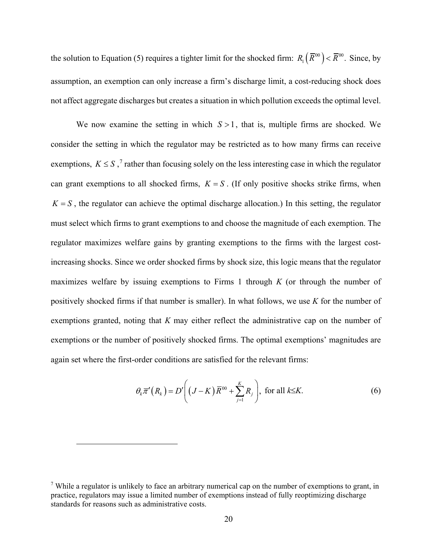the solution to Equation [\(5\)](#page-19-0) requires a tighter limit for the shocked firm:  $R_1(\bar{R}^{00}) < \bar{R}^{00}$ . Since, by assumption, an exemption can only increase a firm's discharge limit, a cost-reducing shock does not affect aggregate discharges but creates a situation in which pollution exceeds the optimal level.

We now examine the setting in which  $S > 1$ , that is, multiple firms are shocked. We consider the setting in which the regulator may be restricted as to how many firms can receive exemptions,  $K \leq S$ ,<sup>[7](#page-20-0)</sup> rather than focusing solely on the less interesting case in which the regulator can grant exemptions to all shocked firms,  $K = S$ . (If only positive shocks strike firms, when  $K = S$ , the regulator can achieve the optimal discharge allocation.) In this setting, the regulator must select which firms to grant exemptions to and choose the magnitude of each exemption. The regulator maximizes welfare gains by granting exemptions to the firms with the largest costincreasing shocks. Since we order shocked firms by shock size, this logic means that the regulator maximizes welfare by issuing exemptions to Firms 1 through *K* (or through the number of positively shocked firms if that number is smaller). In what follows, we use *K* for the number of exemptions granted, noting that *K* may either reflect the administrative cap on the number of exemptions or the number of positively shocked firms. The optimal exemptions' magnitudes are again set where the first-order conditions are satisfied for the relevant firms:

<span id="page-20-1"></span>
$$
\theta_k \overline{\pi}^{\prime}(R_k) = D' \bigg( (J - K) \overline{R}^{00} + \sum_{j=1}^{K} R_j \bigg), \text{ for all } k \leq K. \tag{6}
$$

 $\overline{a}$ 

<span id="page-20-0"></span><sup>&</sup>lt;sup>7</sup> While a regulator is unlikely to face an arbitrary numerical cap on the number of exemptions to grant, in practice, regulators may issue a limited number of exemptions instead of fully reoptimizing discharge standards for reasons such as administrative costs.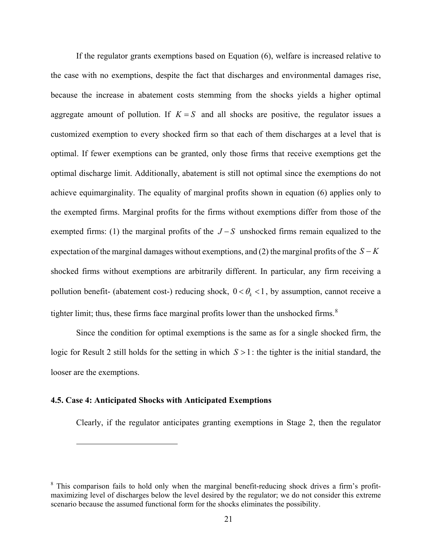If the regulator grants exemptions based on Equation [\(6\),](#page-20-1) welfare is increased relative to the case with no exemptions, despite the fact that discharges and environmental damages rise, because the increase in abatement costs stemming from the shocks yields a higher optimal aggregate amount of pollution. If  $K = S$  and all shocks are positive, the regulator issues a customized exemption to every shocked firm so that each of them discharges at a level that is optimal. If fewer exemptions can be granted, only those firms that receive exemptions get the optimal discharge limit. Additionally, abatement is still not optimal since the exemptions do not achieve equimarginality. The equality of marginal profits shown in equation [\(6\)](#page-20-1) applies only to the exempted firms. Marginal profits for the firms without exemptions differ from those of the exempted firms: (1) the marginal profits of the  $J-S$  unshocked firms remain equalized to the expectation of the marginal damages without exemptions, and (2) the marginal profits of the *S* − *K* shocked firms without exemptions are arbitrarily different. In particular, any firm receiving a pollution benefit- (abatement cost-) reducing shock,  $0 < \theta_k < 1$ , by assumption, cannot receive a tighter limit; thus, these firms face marginal profits lower than the unshocked firms.<sup>[8](#page-21-0)</sup>

Since the condition for optimal exemptions is the same as for a single shocked firm, the logic for Result [2](#page-19-1) still holds for the setting in which *S* >1: the tighter is the initial standard, the looser are the exemptions.

# **4.5. Case 4: Anticipated Shocks with Anticipated Exemptions**

 $\overline{a}$ 

Clearly, if the regulator anticipates granting exemptions in Stage 2, then the regulator

<span id="page-21-0"></span><sup>&</sup>lt;sup>8</sup> This comparison fails to hold only when the marginal benefit-reducing shock drives a firm's profitmaximizing level of discharges below the level desired by the regulator; we do not consider this extreme scenario because the assumed functional form for the shocks eliminates the possibility.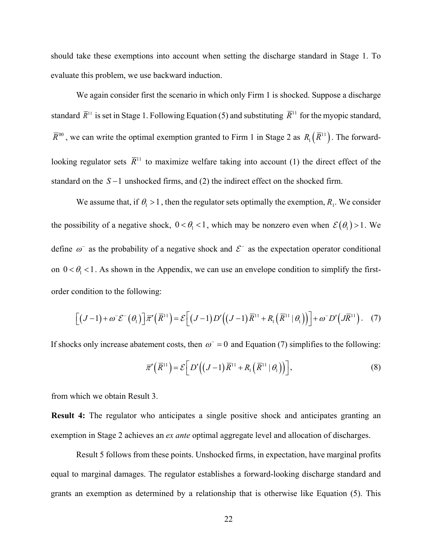should take these exemptions into account when setting the discharge standard in Stage 1. To evaluate this problem, we use backward induction.

We again consider first the scenario in which only Firm 1 is shocked. Suppose a discharge standard  $\bar{R}^{11}$  is set in Stage 1. Following Equation [\(5\)](#page-19-0) and substituting  $\bar{R}^{11}$  for the myopic standard,  $\overline{R}^{00}$ , we can write the optimal exemption granted to Firm 1 in Stage 2 as  $R_1(\overline{R}^{11})$ . The forwardlooking regulator sets  $\overline{R}^{11}$  to maximize welfare taking into account (1) the direct effect of the standard on the *S* −1 unshocked firms, and (2) the indirect effect on the shocked firm.

We assume that, if  $\theta_1 > 1$ , then the regulator sets optimally the exemption,  $R_1$ . We consider the possibility of a negative shock,  $0 < \theta_1 < 1$ , which may be nonzero even when  $\mathcal{E}(\theta_1) > 1$ . We define  $\omega^-$  as the probability of a negative shock and  $\mathcal{E}^-$  as the expectation operator conditional on  $0 < \theta_1 < 1$ . As shown in the Appendix, we can use an envelope condition to simplify the firstorder condition to the following:

$$
\left[ (J-1) + \omega^-\mathcal{E}^-(\theta_1) \right] \overline{\pi}'(\overline{R}^{11}) = \mathcal{E}\left[ (J-1)D'\Big((J-1)\overline{R}^{11} + R_1\Big(\overline{R}^{11}|\theta_1\Big) \Big) \right] + \omega^-\overline{D}'\Big(\overline{J}\overline{R}^{11}\Big). \tag{7}
$$

If shocks only increase abatement costs, then  $\omega$ <sup>-</sup> = 0 and Equation (7) simplifies to the following:

<span id="page-22-0"></span>
$$
\overline{\pi}^{\prime}\left(\overline{R}^{11}\right) = \mathcal{E}\left[D^{\prime}\left(\left(J-1\right)\overline{R}^{11} + R_1\left(\overline{R}^{11} \mid \theta_1\right)\right)\right],\tag{8}
$$

from which we obtain Result 3.

**Result 4:** The regulator who anticipates a single positive shock and anticipates granting an exemption in Stage 2 achieves an *ex ante* optimal aggregate level and allocation of discharges.

Result 5 follows from these points. Unshocked firms, in expectation, have marginal profits equal to marginal damages. The regulator establishes a forward-looking discharge standard and grants an exemption as determined by a relationship that is otherwise like Equation [\(5\).](#page-19-0) This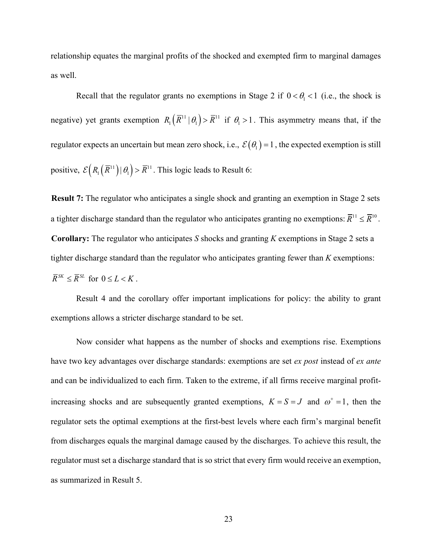relationship equates the marginal profits of the shocked and exempted firm to marginal damages as well.

Recall that the regulator grants no exemptions in Stage 2 if  $0 < \theta_1 < 1$  (i.e., the shock is negative) yet grants exemption  $R_1(\overline{R}^{11} | \theta_1) > \overline{R}^{11}$  if  $\theta_1 > 1$ . This asymmetry means that, if the regulator expects an uncertain but mean zero shock, i.e.,  $\mathcal{E}(\theta_1) = 1$ , the expected exemption is still positive,  $\mathcal{E}\left( R_1\left( \overline{R}^{11} \right) \middle| \theta_1 \right) > \overline{R}^{11}$ . This logic leads to Result 6:

<span id="page-23-0"></span>**Result 7:** The regulator who anticipates a single shock and granting an exemption in Stage 2 sets a tighter discharge standard than the regulator who anticipates granting no exemptions:  $\overline{R}^{11} \leq \overline{R}^{10}$ . **Corollary:** The regulator who anticipates *S* shocks and granting *K* exemptions in Stage 2 sets a tighter discharge standard than the regulator who anticipates granting fewer than *K* exemptions:  $\overline{R}^{SK} \leq \overline{R}^{SL}$  for  $0 \leq L < K$ .

Result [4](#page-23-0) and the corollary offer important implications for policy: the ability to grant exemptions allows a stricter discharge standard to be set.

Now consider what happens as the number of shocks and exemptions rise. Exemptions have two key advantages over discharge standards: exemptions are set *ex post* instead of *ex ante* and can be individualized to each firm. Taken to the extreme, if all firms receive marginal profitincreasing shocks and are subsequently granted exemptions,  $K = S = J$  and  $\omega^+ = 1$ , then the regulator sets the optimal exemptions at the first-best levels where each firm's marginal benefit from discharges equals the marginal damage caused by the discharges. To achieve this result, the regulator must set a discharge standard that is so strict that every firm would receive an exemption, as summarized in Result [5.](#page-24-0)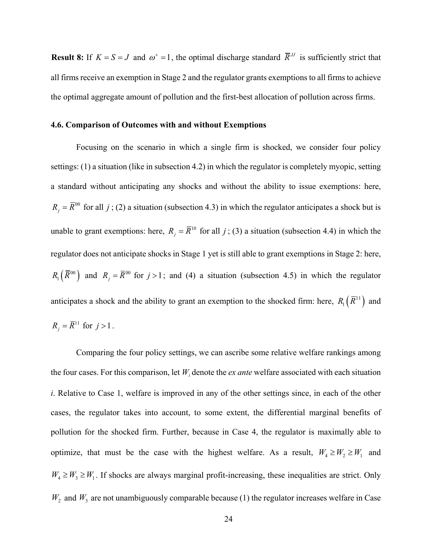<span id="page-24-1"></span><span id="page-24-0"></span>**Result 8:** If  $K = S = J$  and  $\omega^+ = 1$ , the optimal discharge standard  $\overline{R}^J$  is sufficiently strict that all firms receive an exemption in Stage 2 and the regulator grants exemptions to all firms to achieve the optimal aggregate amount of pollution and the first-best allocation of pollution across firms.

### **4.6. Comparison of Outcomes with and without Exemptions**

Focusing on the scenario in which a single firm is shocked, we consider four policy settings: (1) a situation (like in subsection 4.2) in which the regulator is completely myopic, setting a standard without anticipating any shocks and without the ability to issue exemptions: here,  $R_i = \overline{R}^{00}$  for all *j*; (2) a situation (subsection 4.3) in which the regulator anticipates a shock but is unable to grant exemptions: here,  $R_i = \overline{R}^{10}$  for all *j*; (3) a situation (subsection 4.4) in which the regulator does not anticipate shocks in Stage 1 yet is still able to grant exemptions in Stage 2: here,  $R_1(\overline{R}^{00})$  and  $R_i = \overline{R}^{00}$  for  $j > 1$ ; and (4) a situation (subsection 4.5) in which the regulator anticipates a shock and the ability to grant an exemption to the shocked firm: here,  $R_1(\overline{R}^{11})$  and  $R_{i} = \overline{R}^{11}$  for  $j > 1$ .

Comparing the four policy settings, we can ascribe some relative welfare rankings among the four cases. For this comparison, let  $W_i$  denote the *ex ante* welfare associated with each situation *i*. Relative to Case 1, welfare is improved in any of the other settings since, in each of the other cases, the regulator takes into account, to some extent, the differential marginal benefits of pollution for the shocked firm. Further, because in Case 4, the regulator is maximally able to optimize, that must be the case with the highest welfare. As a result,  $W_4 \ge W_2 \ge W_1$  and  $W_4 \geq W_3 \geq W_1$ . If shocks are always marginal profit-increasing, these inequalities are strict. Only  $W_2$  and  $W_3$  are not unambiguously comparable because (1) the regulator increases welfare in Case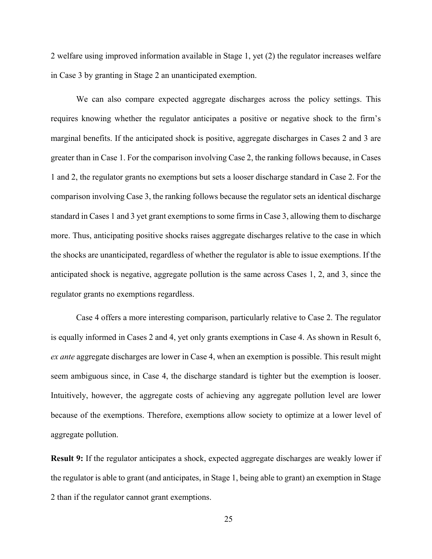2 welfare using improved information available in Stage 1, yet (2) the regulator increases welfare in Case 3 by granting in Stage 2 an unanticipated exemption.

We can also compare expected aggregate discharges across the policy settings. This requires knowing whether the regulator anticipates a positive or negative shock to the firm's marginal benefits. If the anticipated shock is positive, aggregate discharges in Cases 2 and 3 are greater than in Case 1. For the comparison involving Case 2, the ranking follows because, in Cases 1 and 2, the regulator grants no exemptions but sets a looser discharge standard in Case 2. For the comparison involving Case 3, the ranking follows because the regulator sets an identical discharge standard in Cases 1 and 3 yet grant exemptions to some firms in Case 3, allowing them to discharge more. Thus, anticipating positive shocks raises aggregate discharges relative to the case in which the shocks are unanticipated, regardless of whether the regulator is able to issue exemptions. If the anticipated shock is negative, aggregate pollution is the same across Cases 1, 2, and 3, since the regulator grants no exemptions regardless.

Case 4 offers a more interesting comparison, particularly relative to Case 2. The regulator is equally informed in Cases 2 and 4, yet only grants exemptions in Case 4. As shown in Result 6, *ex ante* aggregate discharges are lower in Case 4, when an exemption is possible. This result might seem ambiguous since, in Case 4, the discharge standard is tighter but the exemption is looser. Intuitively, however, the aggregate costs of achieving any aggregate pollution level are lower because of the exemptions. Therefore, exemptions allow society to optimize at a lower level of aggregate pollution.

**Result 9:** If the regulator anticipates a shock, expected aggregate discharges are weakly lower if the regulator is able to grant (and anticipates, in Stage 1, being able to grant) an exemption in Stage 2 than if the regulator cannot grant exemptions.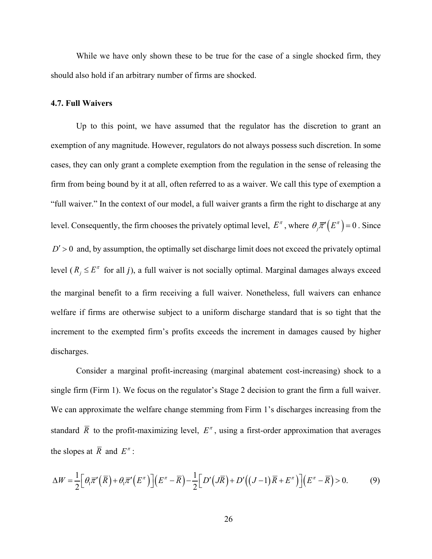While we have only shown these to be true for the case of a single shocked firm, they should also hold if an arbitrary number of firms are shocked.

### **4.7. Full Waivers**

Up to this point, we have assumed that the regulator has the discretion to grant an exemption of any magnitude. However, regulators do not always possess such discretion. In some cases, they can only grant a complete exemption from the regulation in the sense of releasing the firm from being bound by it at all, often referred to as a waiver. We call this type of exemption a "full waiver." In the context of our model, a full waiver grants a firm the right to discharge at any level. Consequently, the firm chooses the privately optimal level,  $E^{\pi}$ , where  $\theta_j \bar{\pi}'(E^{\pi}) = 0$ . Since  $D'$  > 0 and, by assumption, the optimally set discharge limit does not exceed the privately optimal level  $(R_j \leq E^{\pi}$  for all j), a full waiver is not socially optimal. Marginal damages always exceed the marginal benefit to a firm receiving a full waiver. Nonetheless, full waivers can enhance welfare if firms are otherwise subject to a uniform discharge standard that is so tight that the increment to the exempted firm's profits exceeds the increment in damages caused by higher discharges.

Consider a marginal profit-increasing (marginal abatement cost-increasing) shock to a single firm (Firm 1). We focus on the regulator's Stage 2 decision to grant the firm a full waiver. We can approximate the welfare change stemming from Firm 1's discharges increasing from the standard  $\overline{R}$  to the profit-maximizing level,  $E^{\pi}$ , using a first-order approximation that averages the slopes at  $\overline{R}$  and  $E^{\pi}$ :

<span id="page-26-0"></span>
$$
\Delta W = \frac{1}{2} \Big[ \theta_1 \overline{\pi}' \Big( \overline{R} \Big) + \theta_1 \overline{\pi}' \Big( E^{\pi} \Big) \Big] \Big( E^{\pi} - \overline{R} \Big) - \frac{1}{2} \Big[ D' \Big( J \overline{R} \Big) + D' \Big( (J - 1) \overline{R} + E^{\pi} \Big) \Big] \Big( E^{\pi} - \overline{R} \Big) > 0. \tag{9}
$$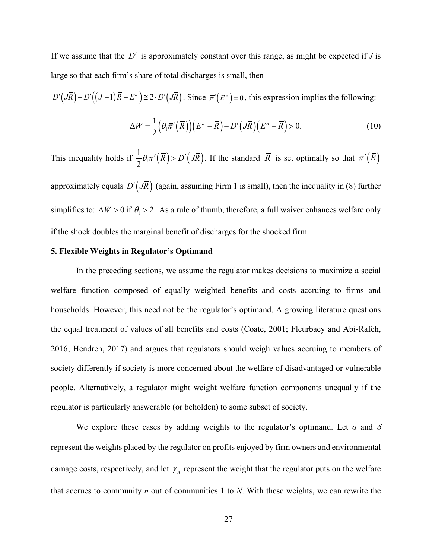If we assume that the *D*′ is approximately constant over this range, as might be expected if *J* is large so that each firm's share of total discharges is small, then

$$
D'\big(J\overline{R}\big) + D'\big((J-1)\overline{R} + E^{\pi}\big) \cong 2 \cdot D'\big(J\overline{R}\big).
$$
 Since  $\overline{\pi}'(E^{\pi}) = 0$ , this expression implies the following:

$$
\Delta W = \frac{1}{2} \Big( \theta_1 \overline{\pi}^{\prime} \big( \overline{R} \big) \Big) \Big( E^{\pi} - \overline{R} \Big) - D^{\prime} \big( J \overline{R} \big) \Big( E^{\pi} - \overline{R} \Big) > 0. \tag{10}
$$

This inequality holds if  $\frac{1}{2} \theta_1 \overline{\pi}'(\overline{R}) > D'(\overline{JR})$  $\theta_1 \overline{\pi}'(\overline{R}) > D'(\overline{JR})$ . If the standard  $\overline{R}$  is set optimally so that  $\overline{\pi}'(\overline{R})$ 

approximately equals  $D'(J\overline{R})$  (again, assuming Firm 1 is small), then the inequality in [\(8\)](#page-26-0) further simplifies to:  $\Delta W > 0$  if  $\theta_1 > 2$ . As a rule of thumb, therefore, a full waiver enhances welfare only if the shock doubles the marginal benefit of discharges for the shocked firm.

## **5. Flexible Weights in Regulator's Optimand**

In the preceding sections, we assume the regulator makes decisions to maximize a social welfare function composed of equally weighted benefits and costs accruing to firms and households. However, this need not be the regulator's optimand. A growing literature questions the equal treatment of values of all benefits and costs (Coate, 2001; Fleurbaey and Abi-Rafeh, 2016; Hendren, 2017) and argues that regulators should weigh values accruing to members of society differently if society is more concerned about the welfare of disadvantaged or vulnerable people. Alternatively, a regulator might weight welfare function components unequally if the regulator is particularly answerable (or beholden) to some subset of society.

We explore these cases by adding weights to the regulator's optimand. Let  $\alpha$  and  $\delta$ represent the weights placed by the regulator on profits enjoyed by firm owners and environmental damage costs, respectively, and let  $\gamma_n$  represent the weight that the regulator puts on the welfare that accrues to community *n* out of communities 1 to *N*. With these weights, we can rewrite the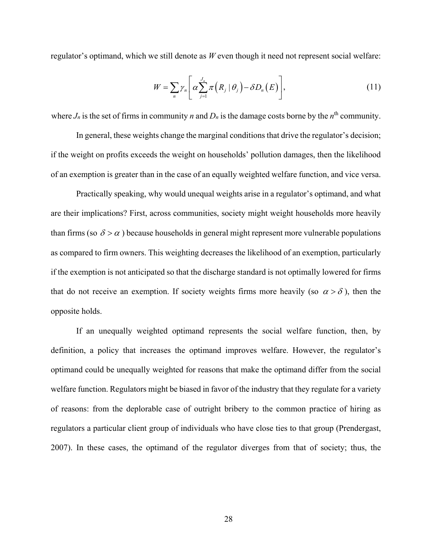regulator's optimand, which we still denote as *W* even though it need not represent social welfare:

$$
W = \sum_{n} \gamma_{n} \left[ \alpha \sum_{j=1}^{J_{n}} \pi \left( R_{j} \mid \theta_{j} \right) - \delta D_{n} \left( E \right) \right], \tag{11}
$$

where  $J_n$  is the set of firms in community *n* and  $D_n$  is the damage costs borne by the  $n^{\text{th}}$  community.

In general, these weights change the marginal conditions that drive the regulator's decision; if the weight on profits exceeds the weight on households' pollution damages, then the likelihood of an exemption is greater than in the case of an equally weighted welfare function, and vice versa.

Practically speaking, why would unequal weights arise in a regulator's optimand, and what are their implications? First, across communities, society might weight households more heavily than firms (so  $\delta > \alpha$ ) because households in general might represent more vulnerable populations as compared to firm owners. This weighting decreases the likelihood of an exemption, particularly if the exemption is not anticipated so that the discharge standard is not optimally lowered for firms that do not receive an exemption. If society weights firms more heavily (so  $\alpha > \delta$ ), then the opposite holds.

If an unequally weighted optimand represents the social welfare function, then, by definition, a policy that increases the optimand improves welfare. However, the regulator's optimand could be unequally weighted for reasons that make the optimand differ from the social welfare function. Regulators might be biased in favor of the industry that they regulate for a variety of reasons: from the deplorable case of outright bribery to the common practice of hiring as regulators a particular client group of individuals who have close ties to that group (Prendergast, 2007). In these cases, the optimand of the regulator diverges from that of society; thus, the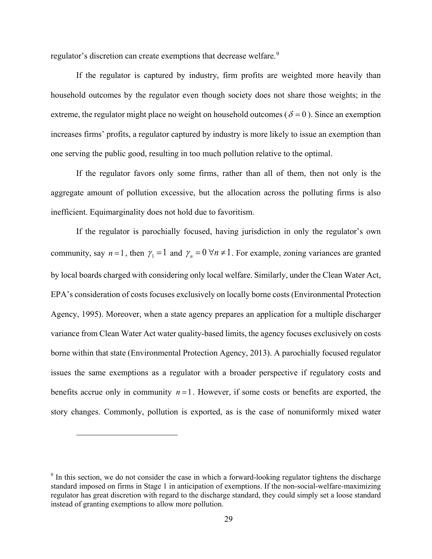regulator's discretion can create exemptions that decrease welfare.<sup>[9](#page-29-0)</sup>

If the regulator is captured by industry, firm profits are weighted more heavily than household outcomes by the regulator even though society does not share those weights; in the extreme, the regulator might place no weight on household outcomes ( $\delta = 0$ ). Since an exemption increases firms' profits, a regulator captured by industry is more likely to issue an exemption than one serving the public good, resulting in too much pollution relative to the optimal.

If the regulator favors only some firms, rather than all of them, then not only is the aggregate amount of pollution excessive, but the allocation across the polluting firms is also inefficient. Equimarginality does not hold due to favoritism.

If the regulator is parochially focused, having jurisdiction in only the regulator's own community, say  $n = 1$ , then  $\gamma_1 = 1$  and  $\gamma_n = 0 \,\forall n \neq 1$ . For example, zoning variances are granted by local boards charged with considering only local welfare. Similarly, under the Clean Water Act, EPA's consideration of costs focuses exclusively on locally borne costs (Environmental Protection Agency, 1995). Moreover, when a state agency prepares an application for a multiple discharger variance from Clean Water Act water quality-based limits, the agency focuses exclusively on costs borne within that state (Environmental Protection Agency, 2013). A parochially focused regulator issues the same exemptions as a regulator with a broader perspective if regulatory costs and benefits accrue only in community  $n = 1$ . However, if some costs or benefits are exported, the story changes. Commonly, pollution is exported, as is the case of nonuniformly mixed water

 $\overline{a}$ 

<span id="page-29-0"></span><sup>&</sup>lt;sup>9</sup> In this section, we do not consider the case in which a forward-looking regulator tightens the discharge standard imposed on firms in Stage 1 in anticipation of exemptions. If the non-social-welfare-maximizing regulator has great discretion with regard to the discharge standard, they could simply set a loose standard instead of granting exemptions to allow more pollution.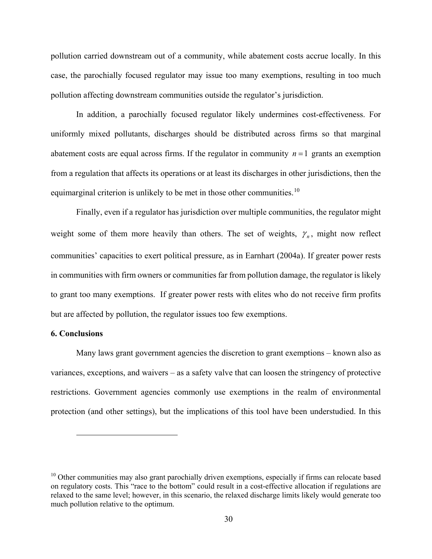pollution carried downstream out of a community, while abatement costs accrue locally. In this case, the parochially focused regulator may issue too many exemptions, resulting in too much pollution affecting downstream communities outside the regulator's jurisdiction.

In addition, a parochially focused regulator likely undermines cost-effectiveness. For uniformly mixed pollutants, discharges should be distributed across firms so that marginal abatement costs are equal across firms. If the regulator in community  $n = 1$  grants an exemption from a regulation that affects its operations or at least its discharges in other jurisdictions, then the equimarginal criterion is unlikely to be met in those other communities.<sup>[10](#page-30-0)</sup>

Finally, even if a regulator has jurisdiction over multiple communities, the regulator might weight some of them more heavily than others. The set of weights,  $\gamma_n$ , might now reflect communities' capacities to exert political pressure, as in Earnhart (2004a). If greater power rests in communities with firm owners or communities far from pollution damage, the regulator is likely to grant too many exemptions. If greater power rests with elites who do not receive firm profits but are affected by pollution, the regulator issues too few exemptions.

### **6. Conclusions**

 $\overline{a}$ 

Many laws grant government agencies the discretion to grant exemptions – known also as variances, exceptions, and waivers – as a safety valve that can loosen the stringency of protective restrictions. Government agencies commonly use exemptions in the realm of environmental protection (and other settings), but the implications of this tool have been understudied. In this

<span id="page-30-0"></span><sup>&</sup>lt;sup>10</sup> Other communities may also grant parochially driven exemptions, especially if firms can relocate based on regulatory costs. This "race to the bottom" could result in a cost-effective allocation if regulations are relaxed to the same level; however, in this scenario, the relaxed discharge limits likely would generate too much pollution relative to the optimum.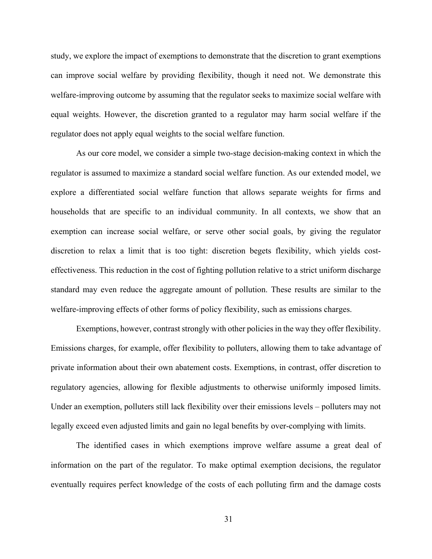study, we explore the impact of exemptions to demonstrate that the discretion to grant exemptions can improve social welfare by providing flexibility, though it need not. We demonstrate this welfare-improving outcome by assuming that the regulator seeks to maximize social welfare with equal weights. However, the discretion granted to a regulator may harm social welfare if the regulator does not apply equal weights to the social welfare function.

As our core model, we consider a simple two-stage decision-making context in which the regulator is assumed to maximize a standard social welfare function. As our extended model, we explore a differentiated social welfare function that allows separate weights for firms and households that are specific to an individual community. In all contexts, we show that an exemption can increase social welfare, or serve other social goals, by giving the regulator discretion to relax a limit that is too tight: discretion begets flexibility, which yields costeffectiveness. This reduction in the cost of fighting pollution relative to a strict uniform discharge standard may even reduce the aggregate amount of pollution. These results are similar to the welfare-improving effects of other forms of policy flexibility, such as emissions charges.

Exemptions, however, contrast strongly with other policies in the way they offer flexibility. Emissions charges, for example, offer flexibility to polluters, allowing them to take advantage of private information about their own abatement costs. Exemptions, in contrast, offer discretion to regulatory agencies, allowing for flexible adjustments to otherwise uniformly imposed limits. Under an exemption, polluters still lack flexibility over their emissions levels – polluters may not legally exceed even adjusted limits and gain no legal benefits by over-complying with limits.

The identified cases in which exemptions improve welfare assume a great deal of information on the part of the regulator. To make optimal exemption decisions, the regulator eventually requires perfect knowledge of the costs of each polluting firm and the damage costs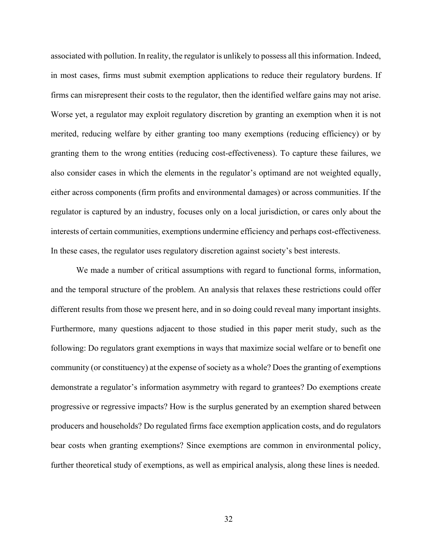associated with pollution. In reality, the regulator is unlikely to possess all this information. Indeed, in most cases, firms must submit exemption applications to reduce their regulatory burdens. If firms can misrepresent their costs to the regulator, then the identified welfare gains may not arise. Worse yet, a regulator may exploit regulatory discretion by granting an exemption when it is not merited, reducing welfare by either granting too many exemptions (reducing efficiency) or by granting them to the wrong entities (reducing cost-effectiveness). To capture these failures, we also consider cases in which the elements in the regulator's optimand are not weighted equally, either across components (firm profits and environmental damages) or across communities. If the regulator is captured by an industry, focuses only on a local jurisdiction, or cares only about the interests of certain communities, exemptions undermine efficiency and perhaps cost-effectiveness. In these cases, the regulator uses regulatory discretion against society's best interests.

We made a number of critical assumptions with regard to functional forms, information, and the temporal structure of the problem. An analysis that relaxes these restrictions could offer different results from those we present here, and in so doing could reveal many important insights. Furthermore, many questions adjacent to those studied in this paper merit study, such as the following: Do regulators grant exemptions in ways that maximize social welfare or to benefit one community (or constituency) at the expense of society as a whole? Does the granting of exemptions demonstrate a regulator's information asymmetry with regard to grantees? Do exemptions create progressive or regressive impacts? How is the surplus generated by an exemption shared between producers and households? Do regulated firms face exemption application costs, and do regulators bear costs when granting exemptions? Since exemptions are common in environmental policy, further theoretical study of exemptions, as well as empirical analysis, along these lines is needed.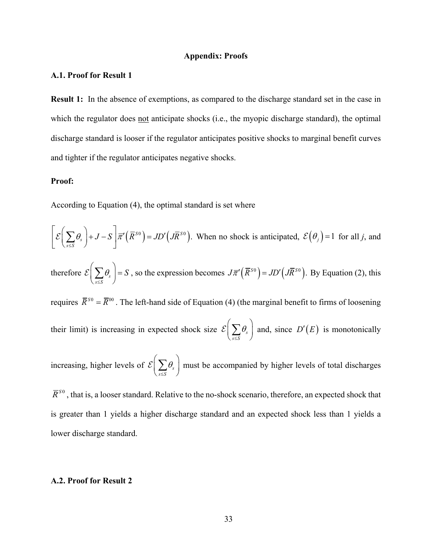#### **Appendix: Proofs**

### **A.1. Proof for Result [1](#page-18-0)**

**Result [1:](#page-18-0)** In the absence of exemptions, as compared to the discharge standard set in the case in which the regulator does not anticipate shocks (i.e., the myopic discharge standard), the optimal discharge standard is looser if the regulator anticipates positive shocks to marginal benefit curves and tighter if the regulator anticipates negative shocks.

#### **Proof:**

According to Equation [\(4\),](#page-18-1) the optimal standard is set where

*s S*

 $\left\langle \sigma_s \right| + J - S \left| \overline{\pi}' \left( \overline{R}^{SO} \right) = JD' \left( J \overline{R}^{SO} \right) \right.$ *s S*  $\theta_{s}$  |+ J – S  $|\bar{\pi}'(R^{S0})=JD'(JR)$ ≤  $\mathcal{E}\left(\sum_{s\leq S}\theta_s\right)+J-S\left(\overline{R}^{S0}\right)=JD'\left(J\overline{R}^{S0}\right)$ . When no shock is anticipated,  $\mathcal{E}\left(\theta_j\right)=1$  for all *j*, and therefore  $\mathcal{E}|\sum \theta_s$ *s S*  $\theta_{s}$  | = S  $\mathcal{E}\left(\sum_{s \leq S} \theta_s\right) = S$ , so the expression becomes  $J\overline{\pi}'(\overline{R}^{S0}) = JD'(\overline{R}^{S0})$ . By Equation [\(2\),](#page-17-0) this requires  $\bar{R}^{s_0} = \bar{R}^{00}$ . The left-hand side of Equation [\(4\)](#page-18-1) (the marginal benefit to firms of loosening their limit) is increasing in expected shock size  $\mathcal{E} | \sum \theta_s$ *s S* θ  $\mathcal{E}\left(\sum_{s \leq S} \theta_s\right)$  and, since  $D'(E)$  is monotonically increasing, higher levels of  $\mathcal{E}|\sum \theta_s$ θ  $\mathcal{E}\left(\sum_{s \leq S} \theta_s\right)$  must be accompanied by higher levels of total discharges

 $\overline{R}^{S0}$ , that is, a looser standard. Relative to the no-shock scenario, therefore, an expected shock that is greater than 1 yields a higher discharge standard and an expected shock less than 1 yields a lower discharge standard.

## **A.2. Proof for Result [2](#page-19-1)**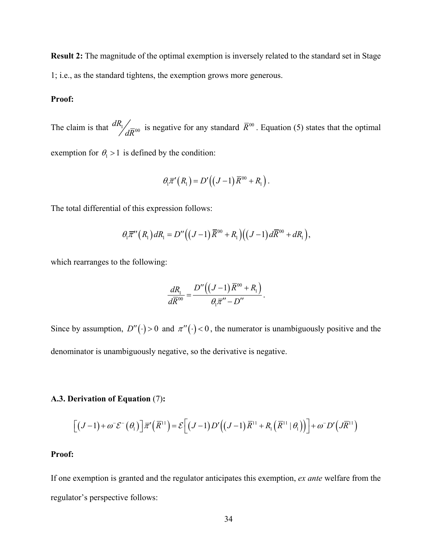**Result 2:** The magnitude of the optimal exemption is inversely related to the standard set in Stage 1; i.e., as the standard tightens, the exemption grows more generous.

## **Proof:**

The claim is that  $\frac{dR_1}{dR_{00}}$  is negative for any standard  $\bar{R}^{00}$ . Equation [\(5\)](#page-19-0) states that the optimal exemption for  $\theta_1 > 1$  is defined by the condition:

$$
\theta_1\overline{\pi}'(R_1)=D'\big((J-1)\overline{R}^{00}+R_1\big).
$$

The total differential of this expression follows:

$$
\theta_1 \overline{\pi}''(R_1) dR_1 = D''((J-1)\overline{R}^{00} + R_1)((J-1) d\overline{R}^{00} + dR_1),
$$

which rearranges to the following:

$$
\frac{dR_1}{d\overline{R}^{00}}=\frac{D''\left((J-1)\overline{R}^{00}+R_1\right)}{\theta_1\overline{\pi}''-D''}.
$$

Since by assumption,  $D''(\cdot) > 0$  and  $\pi''(\cdot) < 0$ , the numerator is unambiguously positive and the denominator is unambiguously negative, so the derivative is negative.

# <span id="page-34-0"></span>**A.3. Derivation of Equation** [\(7\)](#page-22-0)**:**

$$
\left[ \left(J-1\right)+\omega^-\mathcal{E}^-\left(\theta_1\right) \right] \overline{\pi}'\left(\overline{R}^{11}\right) = \mathcal{E}\left[ \left(J-1\right)D'\left(\left(J-1\right)\overline{R}^{11} + R_1\left(\overline{R}^{11} \mid \theta_1\right)\right) \right] + \omega^- D'\left(J\overline{R}^{11}\right)
$$

## **Proof:**

If one exemption is granted and the regulator anticipates this exemption, *ex ante* welfare from the regulator's perspective follows: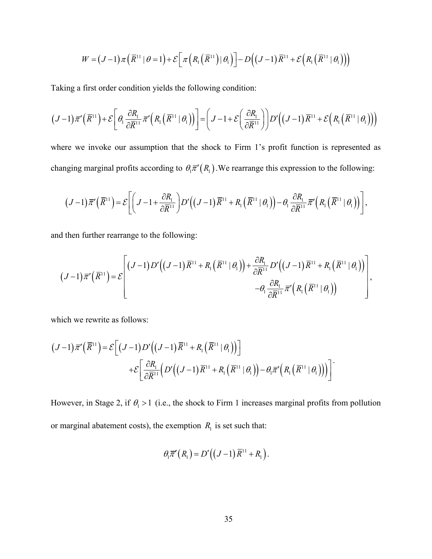$$
W = (J-1)\pi \left( \overline{R}^{11} | \theta = 1 \right) + \mathcal{E} \left[ \pi \left( R_1 \left( \overline{R}^{11} \right) | \theta_1 \right) \right] - D \left( (J-1) \overline{R}^{11} + \mathcal{E} \left( R_1 \left( \overline{R}^{11} | \theta_1 \right) \right) \right)
$$

Taking a first order condition yields the following condition:

$$
(J-1)\overline{\pi}'(\overline{R}^{11})+\mathcal{E}\bigg[\theta_1\frac{\partial R_1}{\partial \overline{R}^{11}}\overline{\pi}'\big(R_1(\overline{R}^{11}|\theta_1)\big)\bigg]=\bigg(J-1+\mathcal{E}\bigg(\frac{\partial R_1}{\partial \overline{R}^{11}}\bigg)\bigg)D'\bigg((J-1)\overline{R}^{11}+\mathcal{E}\big(R_1(\overline{R}^{11}|\theta_1)\big)\bigg)
$$

where we invoke our assumption that the shock to Firm 1's profit function is represented as changing marginal profits according to  $\theta_1 \bar{\pi}'(R_1)$ . We rearrange this expression to the following:

$$
(J-1)\overline{\pi}'(\overline{R}^{11})=\mathcal{E}\bigg[\bigg(J-1+\frac{\partial R_1}{\partial \overline{R}^{11}}\bigg)D'\bigg((J-1)\overline{R}^{11}+R_1(\overline{R}^{11}\mid\theta_1)\bigg)-\theta_1\frac{\partial R_1}{\partial \overline{R}^{11}}\overline{\pi}'\bigg(R_1(\overline{R}^{11}\mid\theta_1)\bigg)\bigg],
$$

and then further rearrange to the following:

$$
(J-1)\overline{\pi}'(\overline{R}^{11}) = \mathcal{E}\left[\frac{(J-1)D'\big((J-1)\overline{R}^{11} + R_1(\overline{R}^{11} | \theta_1)\big) + \frac{\partial R_1}{\partial \overline{R}^{11}}D'\big((J-1)\overline{R}^{11} + R_1(\overline{R}^{11} | \theta_1)\big)\big)}{-\theta_1\frac{\partial R_1}{\partial \overline{R}^{11}}\overline{\pi}'\big(R_1(\overline{R}^{11} | \theta_1)\big)\right],
$$

which we rewrite as follows:

$$
(J-1)\overline{\pi}'(\overline{R}^{11}) = \mathcal{E}\Big[(J-1)D'\Big((J-1)\overline{R}^{11} + R_1(\overline{R}^{11} | \theta_1)\Big)\Big] +\mathcal{E}\Big[\frac{\partial R_1}{\partial \overline{R}^{11}}\Big(D'\Big((J-1)\overline{R}^{11} + R_1(\overline{R}^{11} | \theta_1)\Big) - \theta_1\overline{\pi}'\Big(R_1(\overline{R}^{11} | \theta_1)\Big)\Big)\Big]
$$

However, in Stage 2, if  $\theta_1 > 1$  (i.e., the shock to Firm 1 increases marginal profits from pollution or marginal abatement costs), the exemption  $R<sub>1</sub>$  is set such that:

$$
\theta_1 \overline{\pi}^{\prime}(R_1) = D'((J-1)\overline{R}^{11} + R_1).
$$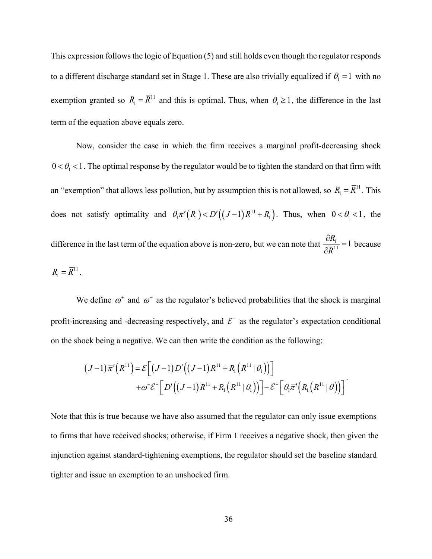This expression follows the logic of Equation [\(5\)](#page-19-0) and still holds even though the regulator responds to a different discharge standard set in Stage 1. These are also trivially equalized if  $\theta_1 = 1$  with no exemption granted so  $R_1 = \overline{R}^{11}$  and this is optimal. Thus, when  $\theta_1 \ge 1$ , the difference in the last term of the equation above equals zero.

Now, consider the case in which the firm receives a marginal profit-decreasing shock  $0 < \theta_1 < 1$ . The optimal response by the regulator would be to tighten the standard on that firm with an "exemption" that allows less pollution, but by assumption this is not allowed, so  $R_1 = \overline{R}^{11}$ . This does not satisfy optimality and  $\theta_1 \overline{\pi}^{\prime}(R_1) < D'((J-1)\overline{R}^{11} + R_1)$ . Thus, when  $0 < \theta_1 < 1$ , the difference in the last term of the equation above is non-zero, but we can note that  $\frac{\partial R_1}{\partial \overline{R}^{11}} = 1$ because  $R_1 = \overline{R}^{11}$ .

We define  $\omega^+$  and  $\omega^-$  as the regulator's believed probabilities that the shock is marginal profit-increasing and -decreasing respectively, and  $\mathcal{E}^-$  as the regulator's expectation conditional on the shock being a negative. We can then write the condition as the following:

$$
(J-1)\overline{\pi}'(\overline{R}^{11}) = \mathcal{E}\Big[(J-1)D'\big((J-1)\overline{R}^{11} + R_1(\overline{R}^{11}|\theta_1)\big)\Big] + \omega^{-} \mathcal{E}^{-}\Big[D'\big((J-1)\overline{R}^{11} + R_1(\overline{R}^{11}|\theta_1)\big)\Big] - \mathcal{E}^{-}\Big[\theta_{1}\overline{\pi}'\Big(R_1(\overline{R}^{11}|\theta)\Big)\Big]^{-}.
$$

Note that this is true because we have also assumed that the regulator can only issue exemptions to firms that have received shocks; otherwise, if Firm 1 receives a negative shock, then given the injunction against standard-tightening exemptions, the regulator should set the baseline standard tighter and issue an exemption to an unshocked firm.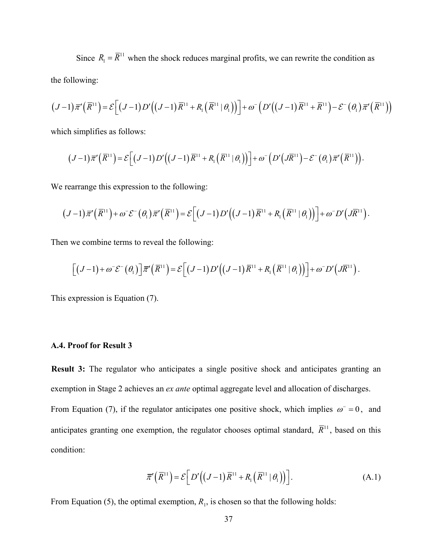Since  $R_1 = \overline{R}^{11}$  when the shock reduces marginal profits, we can rewrite the condition as the following:

$$
(J-1)\overline{\pi}^{\prime}\left(\overline{R}^{11}\right) = \mathcal{E}\left[\left(J-1\right)D^{\prime}\left(\left(J-1\right)\overline{R}^{11} + R_1\left(\overline{R}^{11} \mid \theta_1\right)\right)\right] + \omega^{-}\left(D^{\prime}\left(\left(J-1\right)\overline{R}^{11} + \overline{R}^{11}\right) - \mathcal{E}^{-}\left(\theta_1\right)\overline{\pi}^{\prime}\left(\overline{R}^{11}\right)\right)
$$

which simplifies as follows:

$$
(J-1)\overline{\pi}'(\overline{R}^{11})=\mathcal{E}\Big[(J-1)D'\big((J-1)\overline{R}^{11}+R_1(\overline{R}^{11}|\theta_1)\big)\Big]+\omega^-\big(D'\big(J\overline{R}^{11}\big)-\mathcal{E}^-\big(\theta_1\big)\overline{\pi}'\big(\overline{R}^{11}\big)\Big).
$$

We rearrange this expression to the following:

$$
(J-1)\overline{\pi}'(\overline{R}^{11})+\omega^{-} \mathcal{E}^{-}(\theta_{1})\overline{\pi}'(\overline{R}^{11})=\mathcal{E}\Big[(J-1)D'\big((J-1)\overline{R}^{11}+R_{1}(\overline{R}^{11}|\theta_{1})\big)\Big]+\omega^{-}D'\big(J\overline{R}^{11}\big).
$$

Then we combine terms to reveal the following:

$$
\left[ \left(J-1\right)+\omega^{\scriptscriptstyle -}\mathcal{E}^{\scriptscriptstyle -}\left(\theta_{1}\right) \right] \overline{\pi}^{\prime}\left(\overline{R}^{11}\right)=\mathcal{E}\left[ \left(J-1\right)D^{\prime}\left(\left(J-1\right)\overline{R}^{11}+R_{1}\left(\overline{R}^{11}\mid\theta_{1}\right)\right) \right]+\omega^{\scriptscriptstyle -}D^{\prime}\left(J\overline{R}^{11}\right).
$$

This expression is Equation [\(7\).](#page-22-0)

## **A.4. Proof for Result 3**

**Result 3:** The regulator who anticipates a single positive shock and anticipates granting an exemption in Stage 2 achieves an *ex ante* optimal aggregate level and allocation of discharges.

From Equation [\(7\),](#page-22-0) if the regulator anticipates one positive shock, which implies  $\omega$  = 0, and anticipates granting one exemption, the regulator chooses optimal standard,  $\overline{R}^{11}$ , based on this condition:

<span id="page-37-0"></span>
$$
\overline{\pi}'(\overline{R}^{11}) = \mathcal{E}\Big[D'\Big((J-1)\overline{R}^{11} + R_1(\overline{R}^{11} | \theta_1)\Big)\Big].
$$
 (A.1)

From Equation [\(5\),](#page-19-0) the optimal exemption,  $R_1$ , is chosen so that the following holds: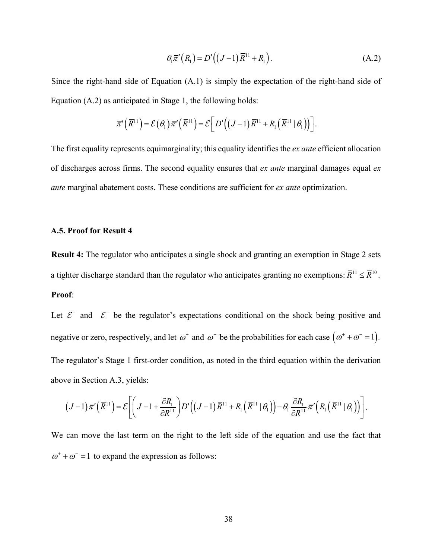<span id="page-38-0"></span>
$$
\theta_1 \overline{\pi}^{\prime}(R_1) = D'((J-1)\overline{R}^{11} + R_1).
$$
\n(A.2)

Since the right-hand side of Equation [\(A.1\)](#page-37-0) is simply the expectation of the right-hand side of Equation [\(A.2\)](#page-38-0) as anticipated in Stage 1, the following holds:

$$
\overline{\pi}'(\overline{R}^{11}) = \mathcal{E}(\theta_1)\overline{\pi}'(\overline{R}^{11}) = \mathcal{E}\Big[D'\Big((J-1)\overline{R}^{11} + R_1(\overline{R}^{11} | \theta_1)\Big)\Big].
$$

The first equality represents equimarginality; this equality identifies the *ex ante* efficient allocation of discharges across firms. The second equality ensures that *ex ante* marginal damages equal *ex ante* marginal abatement costs. These conditions are sufficient for *ex ante* optimization.

## **A.5. Proof for Result [4](#page-23-0)**

**Result 4:** The regulator who anticipates a single shock and granting an exemption in Stage 2 sets a tighter discharge standard than the regulator who anticipates granting no exemptions:  $\overline{R}^{11} \leq \overline{R}^{10}$ . **Proof**:

Let  $\mathcal{E}^+$  and  $\mathcal{E}^-$  be the regulator's expectations conditional on the shock being positive and negative or zero, respectively, and let  $\omega^+$  and  $\omega^-$  be the probabilities for each case  $(\omega^+ + \omega^- = 1)$ . The regulator's Stage 1 first-order condition, as noted in the third equation within the derivation above in Section [A.3,](#page-34-0) yields:

$$
(J-1)\overline{\pi}'(\overline{R}^{11})=\mathcal{E}\bigg[\bigg(J-1+\frac{\partial R_1}{\partial \overline{R}^{11}}\bigg)D'\bigg((J-1)\overline{R}^{11}+R_1(\overline{R}^{11}\mid\theta_1)\bigg)-\theta_1\frac{\partial R_1}{\partial \overline{R}^{11}}\overline{\pi}'\bigg(R_1(\overline{R}^{11}\mid\theta_1)\bigg)\bigg].
$$

We can move the last term on the right to the left side of the equation and use the fact that  $\omega^+ + \omega^- = 1$  to expand the expression as follows: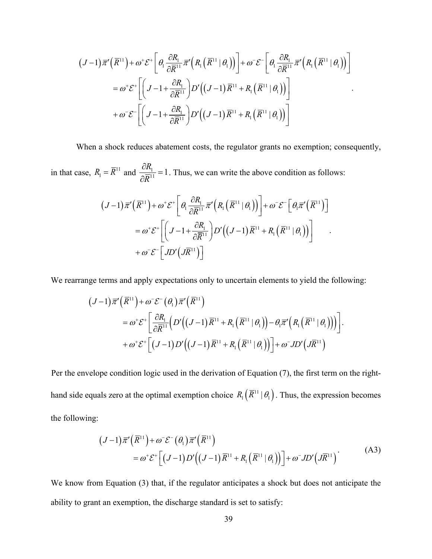$$
(J-1)\overline{\pi}'(\overline{R}^{11}) + \omega^* \mathcal{E}^* \left[ \theta_1 \frac{\partial R_1}{\partial \overline{R}^{11}} \overline{\pi}' \Big( R_1 (\overline{R}^{11} | \theta_1) \Big) \right] + \omega^* \mathcal{E}^- \left[ \theta_1 \frac{\partial R_1}{\partial \overline{R}^{11}} \overline{\pi}' \Big( R_1 (\overline{R}^{11} | \theta_1) \Big) \right]
$$
  
=  $\omega^* \mathcal{E}^* \left[ \left( J - 1 + \frac{\partial R_1}{\partial \overline{R}^{11}} \right) D' \Big( (J-1) \overline{R}^{11} + R_1 (\overline{R}^{11} | \theta_1) \Big) \right]$   
+  $\omega^- \mathcal{E}^- \left[ \left( J - 1 + \frac{\partial R_1}{\partial \overline{R}^{11}} \right) D' \Big( (J-1) \overline{R}^{11} + R_1 (\overline{R}^{11} | \theta_1) \Big) \right]$ 

When a shock reduces abatement costs, the regulator grants no exemption; consequently,

.

in that case,  $R_1 = \overline{R}^{11}$  and  $\frac{\partial R_1}{\partial \overline{R}^{11}} = 1$ . Thus, we can write the above condition as follows:

$$
(J-1)\overline{\pi}'(\overline{R}^{11}) + \omega^* \mathcal{E}^* \bigg[ \theta_1 \frac{\partial R_1}{\partial \overline{R}^{11}} \overline{\pi}'(R_1(\overline{R}^{11} | \theta_1)) \bigg] + \omega^* \mathcal{E}^- \bigg[ \theta_1 \overline{\pi}'(\overline{R}^{11}) \bigg]
$$
  
=  $\omega^* \mathcal{E}^* \bigg[ \bigg( J - 1 + \frac{\partial R_1}{\partial \overline{R}^{11}} \bigg) D' \big( (J-1) \overline{R}^{11} + R_1 (\overline{R}^{11} | \theta_1) \big) \bigg] + \omega^* \mathcal{E}^- \bigg[ JD' \big( J \overline{R}^{11} \big) \bigg]$ 

We rearrange terms and apply expectations only to uncertain elements to yield the following:

$$
(J-1)\overline{\pi}'(\overline{R}^{11}) + \omega^{\scriptscriptstyle{\top}} \mathcal{E}^{\scriptscriptstyle{\top}}(\theta_1) \overline{\pi}'(\overline{R}^{11})
$$
  
=  $\omega^{\scriptscriptstyle{\top}} \mathcal{E}^{\scriptscriptstyle{\pm}} \left[ \frac{\partial R_1}{\partial \overline{R}^{11}} \Big( D' \Big( (J-1) \overline{R}^{11} + R_1 \Big( \overline{R}^{11} \Big| \theta_1 \Big) \Big) - \theta_1 \overline{\pi}' \Big( R_1 \Big( \overline{R}^{11} \Big| \theta_1 \Big) \Big) \right] \right] \cdot$   
+  $\omega^{\scriptscriptstyle{\top}} \mathcal{E}^{\scriptscriptstyle{\pm}} \left[ (J-1) D' \Big( (J-1) \overline{R}^{11} + R_1 \Big( \overline{R}^{11} \Big| \theta_1 \Big) \Big) \right] + \omega^{\scriptscriptstyle{\top}} JD' \Big( J \overline{R}^{11} \Big)$ 

Per the envelope condition logic used in the derivation of Equation [\(7\),](#page-22-0) the first term on the righthand side equals zero at the optimal exemption choice  $R_1(\bar R^{11} \,|\, \theta_1)$  . Thus, the expression becomes the following:

<span id="page-39-0"></span>
$$
(J-1)\overline{\pi}'(\overline{R}^{11}) + \omega^{-} \mathcal{E}^{-}(\theta_{1}) \overline{\pi}'(\overline{R}^{11})
$$
  
=  $\omega^{+} \mathcal{E}^{+}[(J-1)D'((J-1)\overline{R}^{11} + R_{1}(\overline{R}^{11}|\theta_{1}))] + \omega^{-} JD'(\overline{J}\overline{R}^{11})$  (A3)

We know from Equation [\(3\)](#page-17-1) that, if the regulator anticipates a shock but does not anticipate the ability to grant an exemption, the discharge standard is set to satisfy: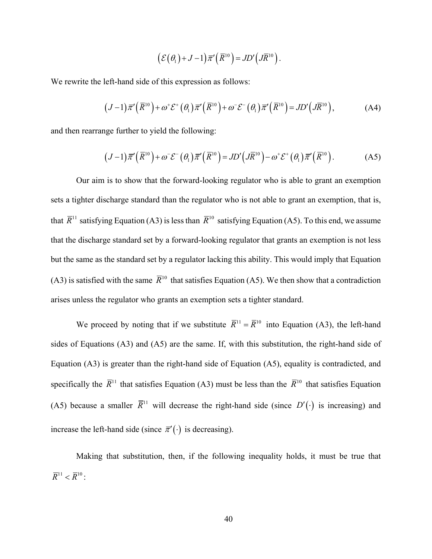<span id="page-40-1"></span><span id="page-40-0"></span>
$$
\left(\mathcal{E}(\theta_1)+J-1\right)\overline{\pi}'\left(\overline{R}^{10}\right)=JD'\left(J\overline{R}^{10}\right).
$$

We rewrite the left-hand side of this expression as follows:

$$
(J-1)\overline{\pi}'(\overline{R}^{10}) + \omega^* \mathcal{E}^*(\theta_1)\overline{\pi}'(\overline{R}^{10}) + \omega^- \mathcal{E}^-(\theta_1)\overline{\pi}'(\overline{R}^{10}) = JD'(\overline{J}(\overline{R}^{10})),
$$
 (A4)

and then rearrange further to yield the following:

$$
(J-1)\overline{\pi}'(\overline{R}^{10}) + \omega^{-} \mathcal{E}^{-}(\theta_{1})\overline{\pi}'(\overline{R}^{10}) = JD'(\overline{R}^{10}) - \omega^{+} \mathcal{E}^{+}(\theta_{1})\overline{\pi}'(\overline{R}^{10}).
$$
 (A5)

Our aim is to show that the forward-looking regulator who is able to grant an exemption sets a tighter discharge standard than the regulator who is not able to grant an exemption, that is, that  $\overline{R}^{11}$  satisfying Equatio[n \(A3\)](#page-39-0) is less than  $\overline{R}^{10}$  satisfying Equation [\(A5\).](#page-40-0) To this end, we assume that the discharge standard set by a forward-looking regulator that grants an exemption is not less but the same as the standard set by a regulator lacking this ability. This would imply that Equation [\(A3\)](#page-39-0) is satisfied with the same  $\bar{R}^{10}$  that satisfies Equation [\(A5\).](#page-40-0) We then show that a contradiction arises unless the regulator who grants an exemption sets a tighter standard.

We proceed by noting that if we substitute  $\overline{R}^{11} = \overline{R}^{10}$  into Equation [\(A3\),](#page-39-0) the left-hand sides of Equations [\(A3\)](#page-39-0) and [\(A5\)](#page-40-0) are the same. If, with this substitution, the right-hand side of Equation [\(A3\)](#page-39-0) is greater than the right-hand side of Equation [\(A5\),](#page-40-0) equality is contradicted, and specifically the  $\overline{R}^{11}$  that satisfies Equation [\(A3\)](#page-39-0) must be less than the  $\overline{R}^{10}$  that satisfies Equation [\(A5\)](#page-40-0) because a smaller  $\overline{R}$ <sup>11</sup> will decrease the right-hand side (since *D'*(⋅) is increasing) and increase the left-hand side (since  $\bar{\pi}'(\cdot)$  is decreasing).

Making that substitution, then, if the following inequality holds, it must be true that  $\overline{R}^{11} < \overline{R}^{10}$ :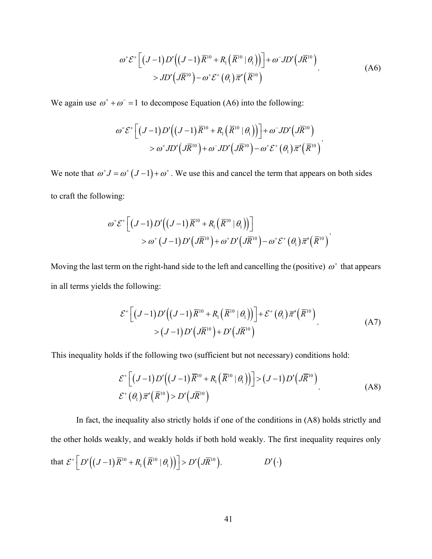<span id="page-41-0"></span>
$$
\omega^* \mathcal{E}^* \left[ \left( J - 1 \right) D' \left( \left( J - 1 \right) \overline{R}^{10} + R_1 \left( \overline{R}^{10} \mid \theta_1 \right) \right) \right] + \omega^- J D' \left( J \overline{R}^{10} \right) > J D' \left( J \overline{R}^{10} \right) - \omega^+ \mathcal{E}^+ \left( \theta_1 \right) \overline{\pi}' \left( \overline{R}^{10} \right)
$$
\n(A6)

We again use  $\omega^+ + \omega^- = 1$  to decompose Equation [\(A6\)](#page-41-0) into the following:

$$
\omega^+\mathcal{E}^+\Big[(J-1)D'\Big((J-1)\overline{R}^{10}+R_1(\overline{R}^{10}|\theta_1)\Big)\Big]+\omega^-JD'\Big(J\overline{R}^{10}\Big)\\>\omega^+JD'\Big(J\overline{R}^{10}\Big)+\omega^-JD'\Big(J\overline{R}^{10}\Big)-\omega^+\mathcal{E}^+\big(\theta_1\big)\overline{\pi}'\Big(\overline{R}^{10}\Big).
$$

We note that  $\omega^{\dagger}J = \omega^{\dagger}(J-1) + \omega^{\dagger}$ . We use this and cancel the term that appears on both sides to craft the following:

$$
\omega^+\mathcal{E}^+\left[ \left(J-1\right)D'\left(\left(J-1\right)\overline{R}^{10}+R_1\left(\overline{R}^{10}\mid\theta_1\right)\right)\right] > \omega^+\left(J-1\right)D'\left(J\overline{R}^{10}\right)+\omega^+D'\left(J\overline{R}^{10}\right)-\omega^+\mathcal{E}^+\left(\theta_1\right)\overline{\pi}'\left(\overline{R}^{10}\right).
$$

Moving the last term on the right-hand side to the left and cancelling the (positive)  $\omega^+$  that appears in all terms yields the following:

$$
\mathcal{E}^+\left[\left(J-1\right)D'\left(\left(J-1\right)\overline{R}^{10}+R_1\left(\overline{R}^{10}\mid\theta_1\right)\right)\right]+\mathcal{E}^+\left(\theta_1\right)\overline{\pi}'\left(\overline{R}^{10}\right)\\>(A7)
$$
\n
$$
>(J-1)D'\left(J\overline{R}^{10}\right)+D'\left(J\overline{R}^{10}\right)
$$

This inequality holds if the following two (sufficient but not necessary) conditions hold:

<span id="page-41-1"></span>
$$
\mathcal{E}^+ \Big[ \big( J - 1 \big) D' \Big( (J - 1) \overline{R}^{10} + R_1 \big( \overline{R}^{10} \, | \, \theta_1 \big) \Big) \Big] > \big( J - 1 \big) D' \big( J \overline{R}^{10} \big) \n\mathcal{E}^+ \big( \theta_1 \big) \overline{\pi}' \big( \overline{R}^{10} \big) > D' \big( J \overline{R}^{10} \big)
$$
\n(A8)

In fact, the inequality also strictly holds if one of the conditions in [\(A8\)](#page-41-1) holds strictly and the other holds weakly, and weakly holds if both hold weakly. The first inequality requires only that  $\mathcal{E}^+ \left[ D' \Big( (J-1) \overline{R}^{10} + R_1 \Big( \overline{R}^{10} \, | \, \theta_1 \Big) \Big) \right] > D' \Big( J \overline{R}^{10} \Big)$ .  $D' (\cdot)$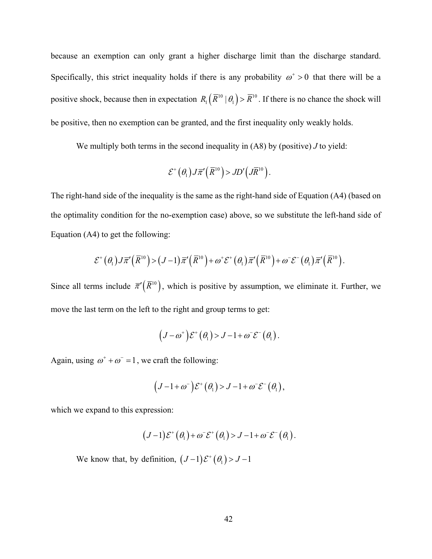because an exemption can only grant a higher discharge limit than the discharge standard. Specifically, this strict inequality holds if there is any probability  $\omega^+ > 0$  that there will be a positive shock, because then in expectation  $R_1(\overline{R}^{10} | \theta_1) > \overline{R}^{10}$ . If there is no chance the shock will be positive, then no exemption can be granted, and the first inequality only weakly holds.

We multiply both terms in the second inequality in [\(A8\)](#page-41-1) by (positive) *J* to yield:

$$
\mathcal{E}^+\left(\theta_1\right)J\overline{\pi}'\left(\overline{R}^{10}\right) > JD'\left(J\overline{R}^{10}\right).
$$

The right-hand side of the inequality is the same as the right-hand side of Equation [\(A4\)](#page-40-1) (based on the optimality condition for the no-exemption case) above, so we substitute the left-hand side of Equation [\(A4\)](#page-40-1) to get the following:

$$
\mathcal{E}^+\left(\theta_1\right)J\overline{\pi}'\left(\overline{R}^{10}\right) > \left(J-1\right)\overline{\pi}'\left(\overline{R}^{10}\right) + \omega^*\mathcal{E}^+\left(\theta_1\right)\overline{\pi}'\left(\overline{R}^{10}\right) + \omega^*\mathcal{E}^-\left(\theta_1\right)\overline{\pi}'\left(\overline{R}^{10}\right).
$$

Since all terms include  $\bar{\pi}'(\bar{R}^{10})$ , which is positive by assumption, we eliminate it. Further, we move the last term on the left to the right and group terms to get:

$$
(J - \omega^+) \mathcal{E}^+ (\theta_1) > J - 1 + \omega^- \mathcal{E}^- (\theta_1).
$$

Again, using  $\omega^+ + \omega^- = 1$ , we craft the following:

$$
(J-1+\omega^{-})\mathcal{E}^{+}(\theta_{1})>J-1+\omega^{-}\mathcal{E}^{-}(\theta_{1}),
$$

which we expand to this expression:

$$
(J-1)\mathcal{E}^+(\theta_1)+\omega^-\mathcal{E}^+(\theta_1) > J-1+\omega^-\mathcal{E}^-(\theta_1).
$$

We know that, by definition,  $(J-1)\mathcal{E}^+(\theta_1) > J-1$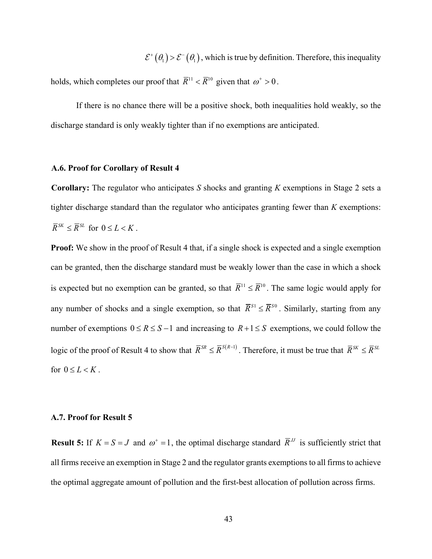$\mathcal{E}^+(\theta_1) > \mathcal{E}^-(\theta_1)$ , which is true by definition. Therefore, this inequality

holds, which completes our proof that  $\overline{R}^{11} < \overline{R}^{10}$  given that  $\omega^+ > 0$ .

If there is no chance there will be a positive shock, both inequalities hold weakly, so the discharge standard is only weakly tighter than if no exemptions are anticipated.

## **A.6. Proof for Corollary of Result [4](#page-23-0)**

**Corollary:** The regulator who anticipates *S* shocks and granting *K* exemptions in Stage 2 sets a tighter discharge standard than the regulator who anticipates granting fewer than *K* exemptions:  $\overline{R}^{SK} \leq \overline{R}^{SL}$  for  $0 \leq L \leq K$ .

**Proof:** We show in the proof of Result [4](#page-23-0) that, if a single shock is expected and a single exemption can be granted, then the discharge standard must be weakly lower than the case in which a shock is expected but no exemption can be granted, so that  $\overline{R}^{11} \leq \overline{R}^{10}$ . The same logic would apply for any number of shocks and a single exemption, so that  $\bar{R}^{S1} \leq \bar{R}^{S0}$ . Similarly, starting from any number of exemptions  $0 \le R \le S-1$  and increasing to  $R+1 \le S$  exemptions, we could follow the logic of the proof of Result [4](#page-23-0) to show that  $\overline{R}^{SR} \leq \overline{R}^{S(R-1)}$ . Therefore, it must be true that  $\overline{R}^{SK} \leq \overline{R}^{SL}$ for  $0 \leq L < K$ .

### **A.7. Proof for Result [5](#page-24-0)**

**[Result 5:](#page-24-1)** If  $K = S = J$  and  $\omega^+ = 1$ , the optimal discharge standard  $\overline{R}$ <sup>*JJ*</sup> is sufficiently strict that all firms receive an exemption in Stage 2 and the regulator grants exemptions to all firms to achieve the optimal aggregate amount of pollution and the first-best allocation of pollution across firms.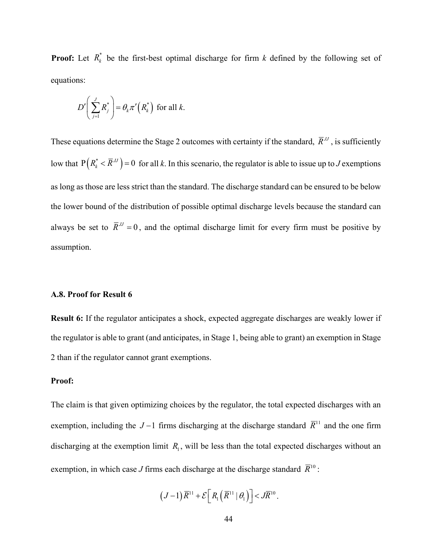**Proof:** Let  $R_k^*$  be the first-best optimal discharge for firm *k* defined by the following set of equations:

$$
D'\bigg(\sum_{j=1}^J R_j^*\bigg) = \theta_k \pi'\big(R_k^*\bigg) \text{ for all } k.
$$

These equations determine the Stage 2 outcomes with certainty if the standard,  $\bar{R}^{\prime\prime}$ , is sufficiently low that  $P(R_k^* < \overline{R}^N) = 0$  for all *k*. In this scenario, the regulator is able to issue up to *J* exemptions as long as those are less strict than the standard. The discharge standard can be ensured to be below the lower bound of the distribution of possible optimal discharge levels because the standard can always be set to  $\overline{R}^U = 0$ , and the optimal discharge limit for every firm must be positive by assumption.

## **A.8. Proof for Result 6**

**Result 6:** If the regulator anticipates a shock, expected aggregate discharges are weakly lower if the regulator is able to grant (and anticipates, in Stage 1, being able to grant) an exemption in Stage 2 than if the regulator cannot grant exemptions.

## **Proof:**

The claim is that given optimizing choices by the regulator, the total expected discharges with an exemption, including the *J* −1 firms discharging at the discharge standard  $\overline{R}$ <sup>11</sup> and the one firm discharging at the exemption limit  $R_1$ , will be less than the total expected discharges without an exemption, in which case *J* firms each discharge at the discharge standard  $\overline{R}^{10}$  :

$$
(J-1)\overline{R}^{11}+\mathcal{E}\Big[R_1(\overline{R}^{11} | \theta_1)\Big] < J\overline{R}^{10}.
$$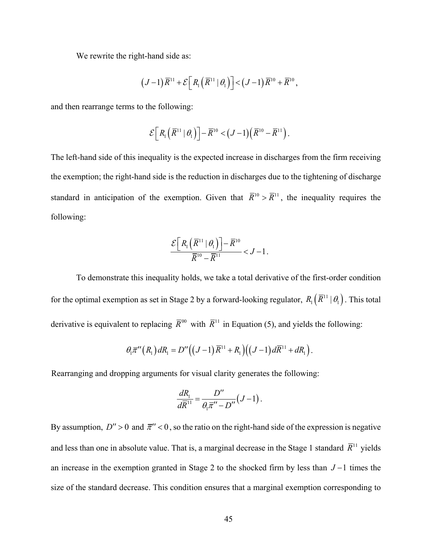We rewrite the right-hand side as:

$$
(J-1)\overline{R}^{11}+\mathcal{E}\Big[R_1(\overline{R}^{11}|\theta_1)\Big]\lt(J-1)\overline{R}^{10}+\overline{R}^{10},
$$

and then rearrange terms to the following:

$$
\mathcal{E}\Big[R_1\Big(\overline{R}^{11}\,\big|\,\theta_1\Big)\Big]-\overline{R}^{10}<(J-1)\Big(\overline{R}^{10}-\overline{R}^{11}\Big).
$$

The left-hand side of this inequality is the expected increase in discharges from the firm receiving the exemption; the right-hand side is the reduction in discharges due to the tightening of discharge standard in anticipation of the exemption. Given that  $\overline{R}^{10} > \overline{R}^{11}$ , the inequality requires the following:

$$
\frac{\mathcal{E}\left[R_1\left(\overline{R}^{11} | \theta_1\right)\right] - \overline{R}^{10}}{\overline{R}^{10} - \overline{R}^{11}} < J - 1.
$$

To demonstrate this inequality holds, we take a total derivative of the first-order condition for the optimal exemption as set in Stage 2 by a forward-looking regulator,  $R_1(\overline{R}^{11} | \theta_1)$ . This total derivative is equivalent to replacing  $\overline{R}^{00}$  with  $\overline{R}^{11}$  in Equation [\(5\),](#page-19-0) and yields the following:

$$
\theta_1\overline{\pi}^{\prime\prime}\left(R_1\right)dR_1=D^{\prime\prime}\left(\left(J-1\right)\overline{R}^{11}+R_1\right)\left(\left(J-1\right)d\overline{R}^{11}+dR_1\right).
$$

Rearranging and dropping arguments for visual clarity generates the following:

$$
\frac{dR_1}{d\overline{R}^{11}} = \frac{D''}{\theta_1 \overline{\pi}'' - D''}(J - 1).
$$

By assumption,  $D'' > 0$  and  $\bar{\pi}'' < 0$ , so the ratio on the right-hand side of the expression is negative and less than one in absolute value. That is, a marginal decrease in the Stage 1 standard  $\bar{R}^{11}$  yields an increase in the exemption granted in Stage 2 to the shocked firm by less than *J* −1 times the size of the standard decrease. This condition ensures that a marginal exemption corresponding to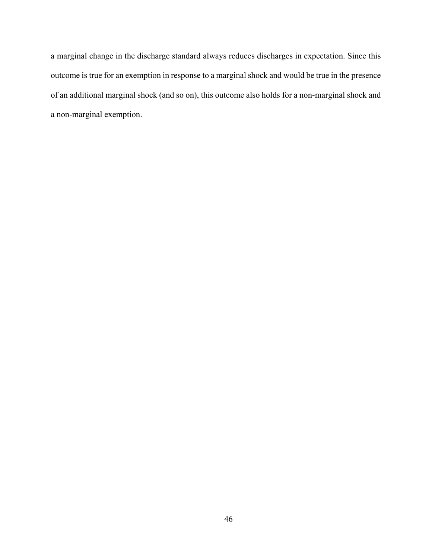a marginal change in the discharge standard always reduces discharges in expectation. Since this outcome is true for an exemption in response to a marginal shock and would be true in the presence of an additional marginal shock (and so on), this outcome also holds for a non-marginal shock and a non-marginal exemption.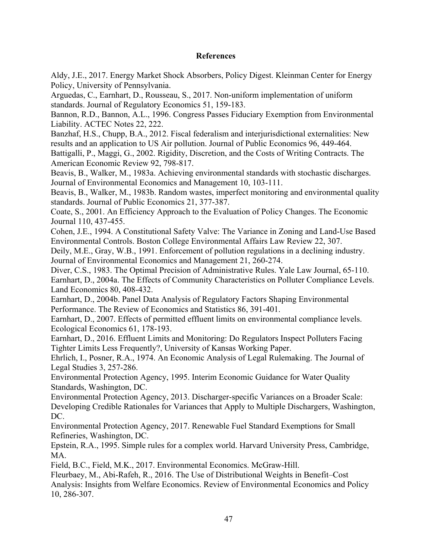# **References**

Aldy, J.E., 2017. Energy Market Shock Absorbers, Policy Digest. Kleinman Center for Energy Policy, University of Pennsylvania.

Arguedas, C., Earnhart, D., Rousseau, S., 2017. Non-uniform implementation of uniform standards. Journal of Regulatory Economics 51, 159-183.

Bannon, R.D., Bannon, A.L., 1996. Congress Passes Fiduciary Exemption from Environmental Liability. ACTEC Notes 22, 222.

Banzhaf, H.S., Chupp, B.A., 2012. Fiscal federalism and interjurisdictional externalities: New results and an application to US Air pollution. Journal of Public Economics 96, 449-464. Battigalli, P., Maggi, G., 2002. Rigidity, Discretion, and the Costs of Writing Contracts. The

American Economic Review 92, 798-817. Beavis, B., Walker, M., 1983a. Achieving environmental standards with stochastic discharges. Journal of Environmental Economics and Management 10, 103-111.

Beavis, B., Walker, M., 1983b. Random wastes, imperfect monitoring and environmental quality standards. Journal of Public Economics 21, 377-387.

Coate, S., 2001. An Efficiency Approach to the Evaluation of Policy Changes. The Economic Journal 110, 437-455.

Cohen, J.E., 1994. A Constitutional Safety Valve: The Variance in Zoning and Land-Use Based Environmental Controls. Boston College Environmental Affairs Law Review 22, 307.

Deily, M.E., Gray, W.B., 1991. Enforcement of pollution regulations in a declining industry. Journal of Environmental Economics and Management 21, 260-274.

Diver, C.S., 1983. The Optimal Precision of Administrative Rules. Yale Law Journal, 65-110. Earnhart, D., 2004a. The Effects of Community Characteristics on Polluter Compliance Levels. Land Economics 80, 408-432.

Earnhart, D., 2004b. Panel Data Analysis of Regulatory Factors Shaping Environmental Performance. The Review of Economics and Statistics 86, 391-401.

Earnhart, D., 2007. Effects of permitted effluent limits on environmental compliance levels. Ecological Economics 61, 178-193.

Earnhart, D., 2016. Effluent Limits and Monitoring: Do Regulators Inspect Polluters Facing Tighter Limits Less Frequently?, University of Kansas Working Paper.

Ehrlich, I., Posner, R.A., 1974. An Economic Analysis of Legal Rulemaking. The Journal of Legal Studies 3, 257-286.

Environmental Protection Agency, 1995. Interim Economic Guidance for Water Quality Standards, Washington, DC.

Environmental Protection Agency, 2013. Discharger-specific Variances on a Broader Scale: Developing Credible Rationales for Variances that Apply to Multiple Dischargers, Washington, DC.

Environmental Protection Agency, 2017. Renewable Fuel Standard Exemptions for Small Refineries, Washington, DC.

Epstein, R.A., 1995. Simple rules for a complex world. Harvard University Press, Cambridge, MA.

Field, B.C., Field, M.K., 2017. Environmental Economics. McGraw-Hill.

Fleurbaey, M., Abi-Rafeh, R., 2016. The Use of Distributional Weights in Benefit–Cost Analysis: Insights from Welfare Economics. Review of Environmental Economics and Policy 10, 286-307.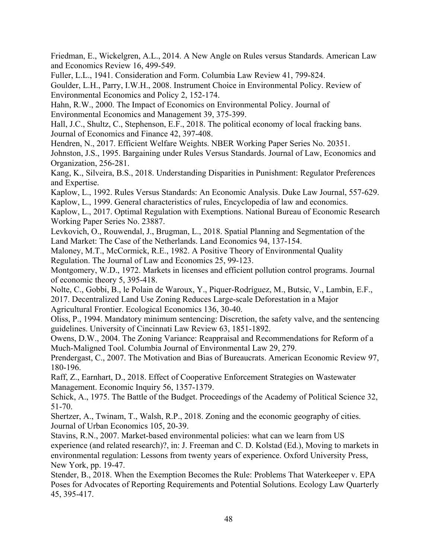Friedman, E., Wickelgren, A.L., 2014. A New Angle on Rules versus Standards. American Law and Economics Review 16, 499-549.

Fuller, L.L., 1941. Consideration and Form. Columbia Law Review 41, 799-824.

Goulder, L.H., Parry, I.W.H., 2008. Instrument Choice in Environmental Policy. Review of Environmental Economics and Policy 2, 152-174.

Hahn, R.W., 2000. The Impact of Economics on Environmental Policy. Journal of Environmental Economics and Management 39, 375-399.

Hall, J.C., Shultz, C., Stephenson, E.F., 2018. The political economy of local fracking bans. Journal of Economics and Finance 42, 397-408.

Hendren, N., 2017. Efficient Welfare Weights. NBER Working Paper Series No. 20351. Johnston, J.S., 1995. Bargaining under Rules Versus Standards. Journal of Law, Economics and Organization, 256-281.

Kang, K., Silveira, B.S., 2018. Understanding Disparities in Punishment: Regulator Preferences and Expertise.

Kaplow, L., 1992. Rules Versus Standards: An Economic Analysis. Duke Law Journal, 557-629. Kaplow, L., 1999. General characteristics of rules, Encyclopedia of law and economics.

Kaplow, L., 2017. Optimal Regulation with Exemptions. National Bureau of Economic Research Working Paper Series No. 23887.

Levkovich, O., Rouwendal, J., Brugman, L., 2018. Spatial Planning and Segmentation of the Land Market: The Case of the Netherlands. Land Economics 94, 137-154.

Maloney, M.T., McCormick, R.E., 1982. A Positive Theory of Environmental Quality Regulation. The Journal of Law and Economics 25, 99-123.

Montgomery, W.D., 1972. Markets in licenses and efficient pollution control programs. Journal of economic theory 5, 395-418.

Nolte, C., Gobbi, B., le Polain de Waroux, Y., Piquer-Rodríguez, M., Butsic, V., Lambin, E.F., 2017. Decentralized Land Use Zoning Reduces Large-scale Deforestation in a Major Agricultural Frontier. Ecological Economics 136, 30-40.

Oliss, P., 1994. Mandatory minimum sentencing: Discretion, the safety valve, and the sentencing guidelines. University of Cincinnati Law Review 63, 1851-1892.

Owens, D.W., 2004. The Zoning Variance: Reappraisal and Recommendations for Reform of a Much-Maligned Tool. Columbia Journal of Environmental Law 29, 279.

Prendergast, C., 2007. The Motivation and Bias of Bureaucrats. American Economic Review 97, 180-196.

Raff, Z., Earnhart, D., 2018. Effect of Cooperative Enforcement Strategies on Wastewater Management. Economic Inquiry 56, 1357-1379.

Schick, A., 1975. The Battle of the Budget. Proceedings of the Academy of Political Science 32, 51-70.

Shertzer, A., Twinam, T., Walsh, R.P., 2018. Zoning and the economic geography of cities. Journal of Urban Economics 105, 20-39.

Stavins, R.N., 2007. Market-based environmental policies: what can we learn from US experience (and related research)?, in: J. Freeman and C. D. Kolstad (Ed.), Moving to markets in environmental regulation: Lessons from twenty years of experience. Oxford University Press, New York, pp. 19-47.

Stender, B., 2018. When the Exemption Becomes the Rule: Problems That Waterkeeper v. EPA Poses for Advocates of Reporting Requirements and Potential Solutions. Ecology Law Quarterly 45, 395-417.